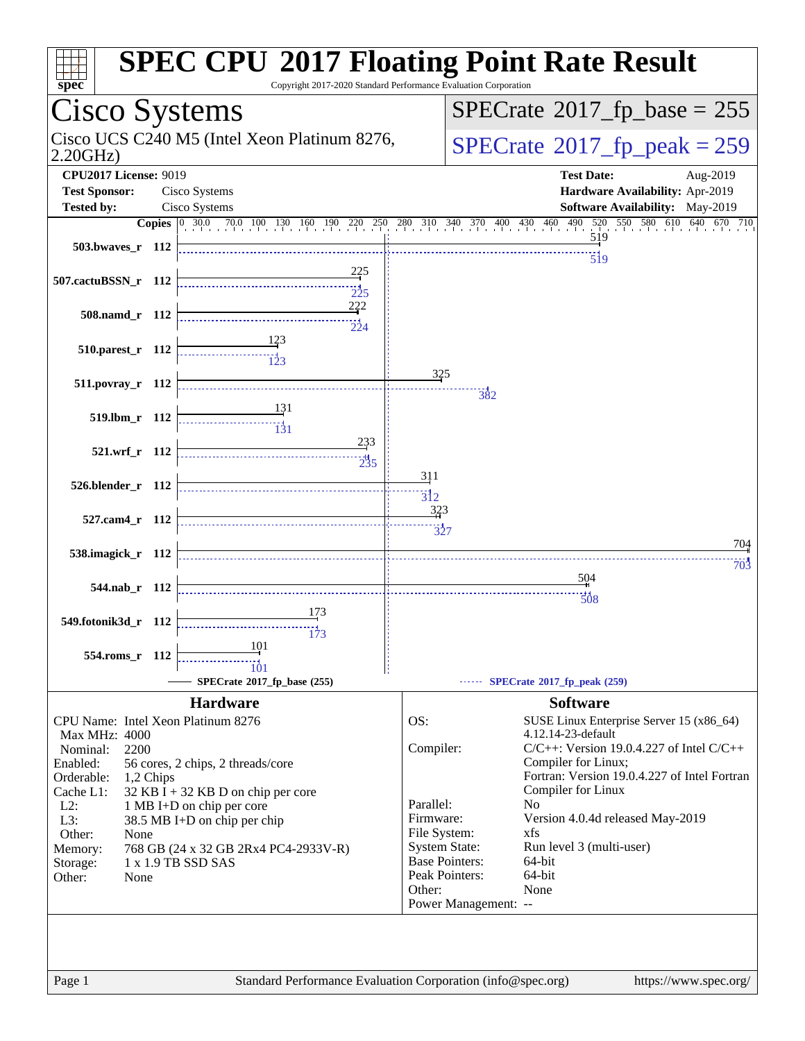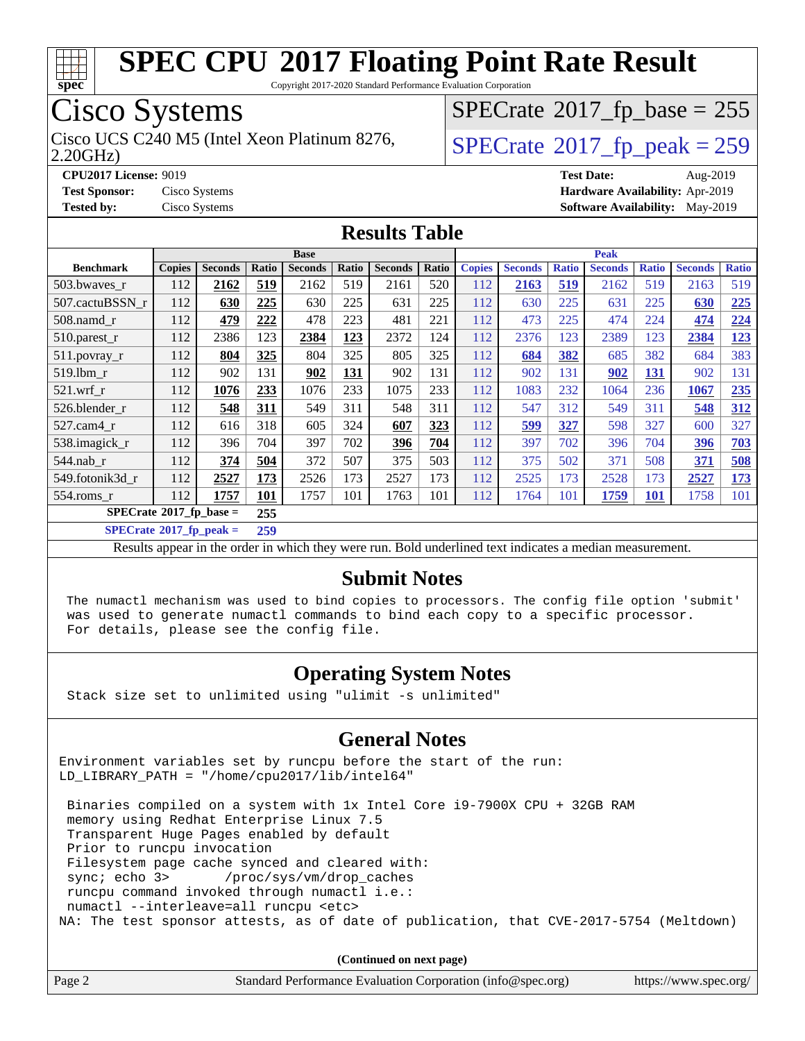

Copyright 2017-2020 Standard Performance Evaluation Corporation

## Cisco Systems

Cisco UCS C240 M5 (Intel Xeon Platinum 8276,  $\vert$ [SPECrate](http://www.spec.org/auto/cpu2017/Docs/result-fields.html#SPECrate2017fppeak)®[2017\\_fp\\_peak = 2](http://www.spec.org/auto/cpu2017/Docs/result-fields.html#SPECrate2017fppeak)59

 $SPECTate$ <sup>®</sup>[2017\\_fp\\_base =](http://www.spec.org/auto/cpu2017/Docs/result-fields.html#SPECrate2017fpbase) 255

2.20GHz)

**[Tested by:](http://www.spec.org/auto/cpu2017/Docs/result-fields.html#Testedby)** Cisco Systems **[Software Availability:](http://www.spec.org/auto/cpu2017/Docs/result-fields.html#SoftwareAvailability)** May-2019

**[CPU2017 License:](http://www.spec.org/auto/cpu2017/Docs/result-fields.html#CPU2017License)** 9019 **[Test Date:](http://www.spec.org/auto/cpu2017/Docs/result-fields.html#TestDate)** Aug-2019 **[Test Sponsor:](http://www.spec.org/auto/cpu2017/Docs/result-fields.html#TestSponsor)** Cisco Systems **[Hardware Availability:](http://www.spec.org/auto/cpu2017/Docs/result-fields.html#HardwareAvailability)** Apr-2019

### **[Results Table](http://www.spec.org/auto/cpu2017/Docs/result-fields.html#ResultsTable)**

| <b>Base</b>                             |               |                |       |                |       | <b>Peak</b>    |       |               |                |              |                |              |                |              |
|-----------------------------------------|---------------|----------------|-------|----------------|-------|----------------|-------|---------------|----------------|--------------|----------------|--------------|----------------|--------------|
| <b>Benchmark</b>                        | <b>Copies</b> | <b>Seconds</b> | Ratio | <b>Seconds</b> | Ratio | <b>Seconds</b> | Ratio | <b>Copies</b> | <b>Seconds</b> | <b>Ratio</b> | <b>Seconds</b> | <b>Ratio</b> | <b>Seconds</b> | <b>Ratio</b> |
| 503.bwaves_r                            | 112           | 2162           | 519   | 2162           | 519   | 2161           | 520   | 112           | 2163           | 519          | 2162           | 519          | 2163           | 519          |
| 507.cactuBSSN r                         | 112           | 630            | 225   | 630            | 225   | 631            | 225   | 112           | 630            | 225          | 631            | 225          | 630            | 225          |
| $508$ .namd $r$                         | 112           | 479            | 222   | 478            | 223   | 481            | 221   | 112           | 473            | 225          | 474            | 224          | 474            | 224          |
| 510.parest_r                            | 112           | 2386           | 123   | 2384           | 123   | 2372           | 124   | 112           | 2376           | 123          | 2389           | 123          | 2384           | 123          |
| 511.povray_r                            | 112           | 804            | 325   | 804            | 325   | 805            | 325   | 112           | 684            | 382          | 685            | 382          | 684            | 383          |
| 519.1bm r                               | 112           | 902            | 131   | 902            | 131   | 902            | 131   | 112           | 902            | 131          | 902            | 131          | 902            | 131          |
| $521$ .wrf r                            | 112           | 1076           | 233   | 1076           | 233   | 1075           | 233   | 112           | 1083           | 232          | 1064           | 236          | 1067           | 235          |
| 526.blender r                           | 112           | 548            | 311   | 549            | 311   | 548            | 311   | 112           | 547            | 312          | 549            | 311          | 548            | 312          |
| $527.cam4_r$                            | 112           | 616            | 318   | 605            | 324   | 607            | 323   | 112           | 599            | 327          | 598            | 327          | 600            | 327          |
| 538.imagick_r                           | 112           | 396            | 704   | 397            | 702   | 396            | 704   | 112           | 397            | 702          | 396            | 704          | 396            | 703          |
| 544.nab r                               | 112           | 374            | 504   | 372            | 507   | 375            | 503   | 112           | 375            | 502          | 371            | 508          | 371            | 508          |
| 549.fotonik3d r                         | 112           | 2527           | 173   | 2526           | 173   | 2527           | 173   | 112           | 2525           | 173          | 2528           | 173          | 2527           | 173          |
| $554$ .roms $r$                         | 112           | 1757           | 101   | 1757           | 101   | 1763           | 101   | 112           | 1764           | 101          | 1759           | <b>101</b>   | 1758           | 101          |
| $SPECrate^{\circ}2017$ fp base =<br>255 |               |                |       |                |       |                |       |               |                |              |                |              |                |              |

**[SPECrate](http://www.spec.org/auto/cpu2017/Docs/result-fields.html#SPECrate2017fppeak)[2017\\_fp\\_peak =](http://www.spec.org/auto/cpu2017/Docs/result-fields.html#SPECrate2017fppeak) 259**

Results appear in the [order in which they were run](http://www.spec.org/auto/cpu2017/Docs/result-fields.html#RunOrder). Bold underlined text [indicates a median measurement](http://www.spec.org/auto/cpu2017/Docs/result-fields.html#Median).

### **[Submit Notes](http://www.spec.org/auto/cpu2017/Docs/result-fields.html#SubmitNotes)**

 The numactl mechanism was used to bind copies to processors. The config file option 'submit' was used to generate numactl commands to bind each copy to a specific processor. For details, please see the config file.

### **[Operating System Notes](http://www.spec.org/auto/cpu2017/Docs/result-fields.html#OperatingSystemNotes)**

Stack size set to unlimited using "ulimit -s unlimited"

#### **[General Notes](http://www.spec.org/auto/cpu2017/Docs/result-fields.html#GeneralNotes)**

Environment variables set by runcpu before the start of the run: LD\_LIBRARY\_PATH = "/home/cpu2017/lib/intel64"

 Binaries compiled on a system with 1x Intel Core i9-7900X CPU + 32GB RAM memory using Redhat Enterprise Linux 7.5 Transparent Huge Pages enabled by default Prior to runcpu invocation Filesystem page cache synced and cleared with: sync; echo 3> /proc/sys/vm/drop\_caches runcpu command invoked through numactl i.e.: numactl --interleave=all runcpu <etc> NA: The test sponsor attests, as of date of publication, that CVE-2017-5754 (Meltdown)

**(Continued on next page)**

| Page 2 | Standard Performance Evaluation Corporation (info@spec.org) | https://www.spec.org/ |
|--------|-------------------------------------------------------------|-----------------------|
|--------|-------------------------------------------------------------|-----------------------|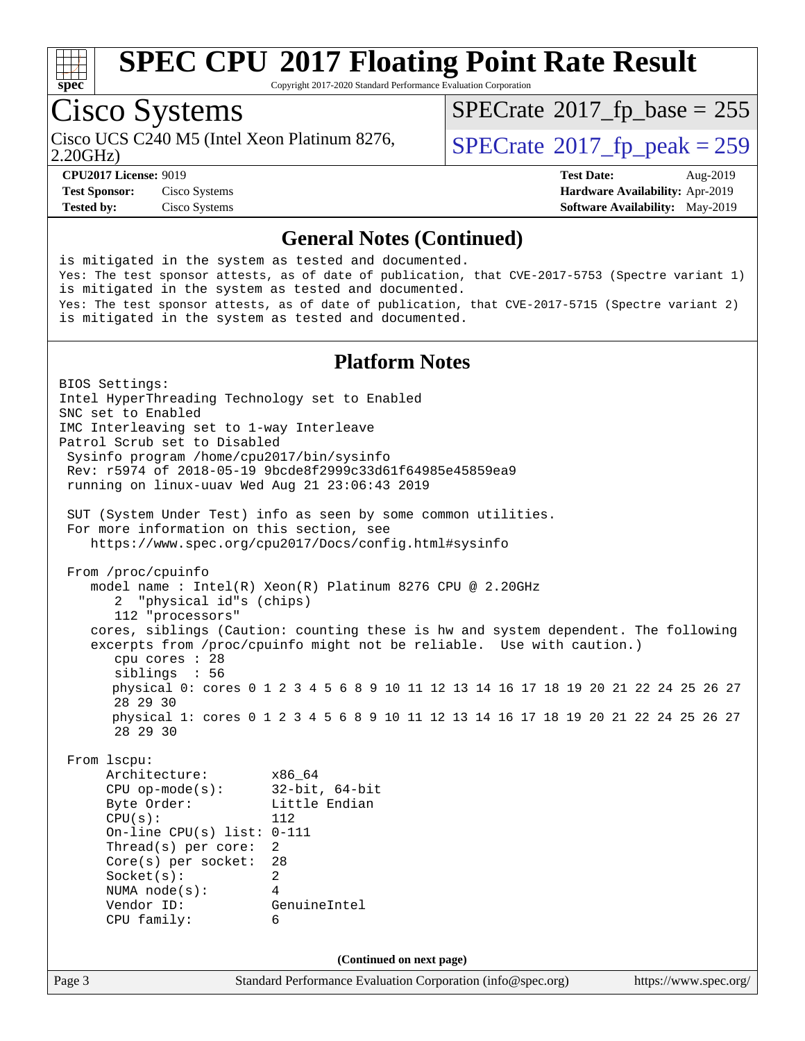

Copyright 2017-2020 Standard Performance Evaluation Corporation

## Cisco Systems

Cisco UCS C240 M5 (Intel Xeon Platinum 8276,<br>2.20GHz)

 $SPECTate$ <sup>®</sup>[2017\\_fp\\_base =](http://www.spec.org/auto/cpu2017/Docs/result-fields.html#SPECrate2017fpbase) 255

 $SPECTate<sup>®</sup>2017<sub>fr</sub> peak = 259$ 

**[Test Sponsor:](http://www.spec.org/auto/cpu2017/Docs/result-fields.html#TestSponsor)** Cisco Systems **[Hardware Availability:](http://www.spec.org/auto/cpu2017/Docs/result-fields.html#HardwareAvailability)** Apr-2019 **[Tested by:](http://www.spec.org/auto/cpu2017/Docs/result-fields.html#Testedby)** Cisco Systems **[Software Availability:](http://www.spec.org/auto/cpu2017/Docs/result-fields.html#SoftwareAvailability)** May-2019

**[CPU2017 License:](http://www.spec.org/auto/cpu2017/Docs/result-fields.html#CPU2017License)** 9019 **[Test Date:](http://www.spec.org/auto/cpu2017/Docs/result-fields.html#TestDate)** Aug-2019

#### **[General Notes \(Continued\)](http://www.spec.org/auto/cpu2017/Docs/result-fields.html#GeneralNotes)**

is mitigated in the system as tested and documented. Yes: The test sponsor attests, as of date of publication, that CVE-2017-5753 (Spectre variant 1) is mitigated in the system as tested and documented. Yes: The test sponsor attests, as of date of publication, that CVE-2017-5715 (Spectre variant 2) is mitigated in the system as tested and documented.

### **[Platform Notes](http://www.spec.org/auto/cpu2017/Docs/result-fields.html#PlatformNotes)**

Page 3 Standard Performance Evaluation Corporation [\(info@spec.org\)](mailto:info@spec.org) <https://www.spec.org/> BIOS Settings: Intel HyperThreading Technology set to Enabled SNC set to Enabled IMC Interleaving set to 1-way Interleave Patrol Scrub set to Disabled Sysinfo program /home/cpu2017/bin/sysinfo Rev: r5974 of 2018-05-19 9bcde8f2999c33d61f64985e45859ea9 running on linux-uuav Wed Aug 21 23:06:43 2019 SUT (System Under Test) info as seen by some common utilities. For more information on this section, see <https://www.spec.org/cpu2017/Docs/config.html#sysinfo> From /proc/cpuinfo model name : Intel(R) Xeon(R) Platinum 8276 CPU @ 2.20GHz 2 "physical id"s (chips) 112 "processors" cores, siblings (Caution: counting these is hw and system dependent. The following excerpts from /proc/cpuinfo might not be reliable. Use with caution.) cpu cores : 28 siblings : 56 physical 0: cores 0 1 2 3 4 5 6 8 9 10 11 12 13 14 16 17 18 19 20 21 22 24 25 26 27 28 29 30 physical 1: cores 0 1 2 3 4 5 6 8 9 10 11 12 13 14 16 17 18 19 20 21 22 24 25 26 27 28 29 30 From lscpu: Architecture: x86\_64 CPU op-mode(s): 32-bit, 64-bit Byte Order: Little Endian CPU(s): 112 On-line CPU(s) list: 0-111 Thread(s) per core: 2 Core(s) per socket: 28 Socket(s): 2 NUMA node(s): 4 Vendor ID: GenuineIntel CPU family: 6 **(Continued on next page)**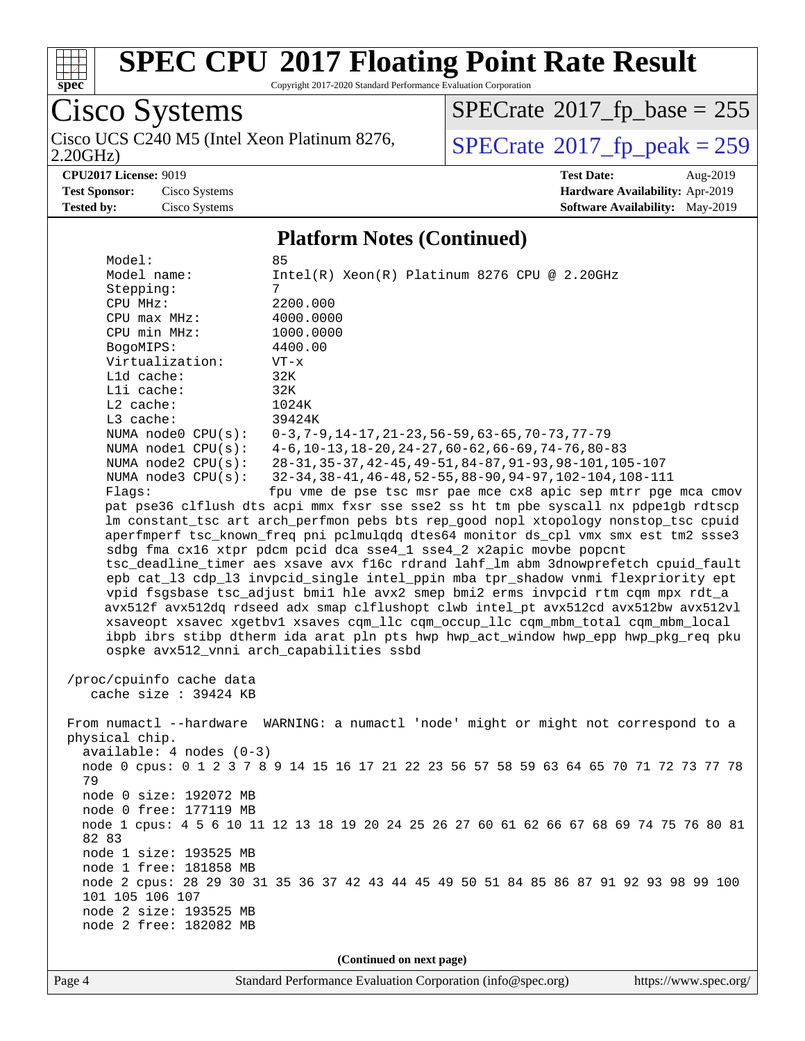

Copyright 2017-2020 Standard Performance Evaluation Corporation

Cisco Systems 2.20GHz) Cisco UCS C240 M5 (Intel Xeon Platinum 8276,  $SPECrate@2017_fp\_peak = 259$  $SPECrate@2017_fp\_peak = 259$ 

 $SPECTate$ <sup>®</sup>[2017\\_fp\\_base =](http://www.spec.org/auto/cpu2017/Docs/result-fields.html#SPECrate2017fpbase) 255

**[CPU2017 License:](http://www.spec.org/auto/cpu2017/Docs/result-fields.html#CPU2017License)** 9019 **[Test Date:](http://www.spec.org/auto/cpu2017/Docs/result-fields.html#TestDate)** Aug-2019 **[Test Sponsor:](http://www.spec.org/auto/cpu2017/Docs/result-fields.html#TestSponsor)** Cisco Systems **[Hardware Availability:](http://www.spec.org/auto/cpu2017/Docs/result-fields.html#HardwareAvailability)** Apr-2019 **[Tested by:](http://www.spec.org/auto/cpu2017/Docs/result-fields.html#Testedby)** Cisco Systems **[Software Availability:](http://www.spec.org/auto/cpu2017/Docs/result-fields.html#SoftwareAvailability)** May-2019

#### **[Platform Notes \(Continued\)](http://www.spec.org/auto/cpu2017/Docs/result-fields.html#PlatformNotes)**

| Model name:<br>$Intel(R)$ Xeon $(R)$ Platinum 8276 CPU @ 2.20GHz<br>Stepping:<br>7<br>2200.000<br>CPU MHz:<br>CPU max MHz:<br>4000.0000<br>CPU min MHz:<br>1000.0000<br>BogoMIPS:<br>4400.00<br>Virtualization:<br>$VT - x$<br>L1d cache:<br>32K<br>Lli cache:<br>32K<br>$L2$ cache:<br>1024K<br>L3 cache:<br>39424K<br>$0-3, 7-9, 14-17, 21-23, 56-59, 63-65, 70-73, 77-79$<br>NUMA node0 CPU(s):<br>$4-6, 10-13, 18-20, 24-27, 60-62, 66-69, 74-76, 80-83$<br>NUMA $node1$ $CPU(s):$<br>28-31, 35-37, 42-45, 49-51, 84-87, 91-93, 98-101, 105-107<br>NUMA $node2$ $CPU(s)$ :<br>32-34, 38-41, 46-48, 52-55, 88-90, 94-97, 102-104, 108-111<br>NUMA node3 CPU(s):<br>fpu vme de pse tsc msr pae mce cx8 apic sep mtrr pge mca cmov<br>Flags:<br>pat pse36 clflush dts acpi mmx fxsr sse sse2 ss ht tm pbe syscall nx pdpelgb rdtscp<br>lm constant_tsc art arch_perfmon pebs bts rep_good nopl xtopology nonstop_tsc cpuid<br>aperfmperf tsc known freq pni pclmulqdq dtes64 monitor ds cpl vmx smx est tm2 ssse3<br>sdbg fma cx16 xtpr pdcm pcid dca sse4_1 sse4_2 x2apic movbe popcnt<br>tsc_deadline_timer aes xsave avx f16c rdrand lahf_lm abm 3dnowprefetch cpuid_fault<br>epb cat_13 cdp_13 invpcid_single intel_ppin mba tpr_shadow vnmi flexpriority ept<br>vpid fsgsbase tsc_adjust bmil hle avx2 smep bmi2 erms invpcid rtm cqm mpx rdt_a<br>avx512f avx512dq rdseed adx smap clflushopt clwb intel_pt avx512cd avx512bw avx512vl<br>xsaveopt xsavec xgetbvl xsaves cqm_llc cqm_occup_llc cqm_mbm_total cqm_mbm_local<br>ibpb ibrs stibp dtherm ida arat pln pts hwp hwp_act_window hwp_epp hwp_pkg_req pku<br>ospke avx512_vnni arch_capabilities ssbd<br>/proc/cpuinfo cache data<br>cache size : 39424 KB<br>From numactl --hardware WARNING: a numactl 'node' might or might not correspond to a<br>physical chip.<br>$available: 4 nodes (0-3)$<br>node 0 cpus: 0 1 2 3 7 8 9 14 15 16 17 21 22 23 56 57 58 59 63 64 65 70 71 72 73 77 78<br>79<br>node 0 size: 192072 MB<br>node 0 free: 177119 MB<br>node 1 cpus: 4 5 6 10 11 12 13 18 19 20 24 25 26 27 60 61 62 66 67 68 69 74 75 76 80 81<br>82 83<br>node 1 size: 193525 MB<br>node 1 free: 181858 MB<br>node 2 cpus: 28 29 30 31 35 36 37 42 43 44 45 49 50 51 84 85 86 87 91 92 93 98 99 100<br>101 105 106 107<br>node 2 size: 193525 MB<br>node 2 free: 182082 MB<br>(Continued on next page) | Model: | 85 |  |  |  |
|--------------------------------------------------------------------------------------------------------------------------------------------------------------------------------------------------------------------------------------------------------------------------------------------------------------------------------------------------------------------------------------------------------------------------------------------------------------------------------------------------------------------------------------------------------------------------------------------------------------------------------------------------------------------------------------------------------------------------------------------------------------------------------------------------------------------------------------------------------------------------------------------------------------------------------------------------------------------------------------------------------------------------------------------------------------------------------------------------------------------------------------------------------------------------------------------------------------------------------------------------------------------------------------------------------------------------------------------------------------------------------------------------------------------------------------------------------------------------------------------------------------------------------------------------------------------------------------------------------------------------------------------------------------------------------------------------------------------------------------------------------------------------------------------------------------------------------------------------------------------------------------------------------------------------------------------------------------------------------------------------------------------------------------------------------------------------------------------------------------------------------------------------------------------------------------------------------------------------------------------------------------------------------------------------------------------------------------------------------------------------|--------|----|--|--|--|
|                                                                                                                                                                                                                                                                                                                                                                                                                                                                                                                                                                                                                                                                                                                                                                                                                                                                                                                                                                                                                                                                                                                                                                                                                                                                                                                                                                                                                                                                                                                                                                                                                                                                                                                                                                                                                                                                                                                                                                                                                                                                                                                                                                                                                                                                                                                                                                          |        |    |  |  |  |
|                                                                                                                                                                                                                                                                                                                                                                                                                                                                                                                                                                                                                                                                                                                                                                                                                                                                                                                                                                                                                                                                                                                                                                                                                                                                                                                                                                                                                                                                                                                                                                                                                                                                                                                                                                                                                                                                                                                                                                                                                                                                                                                                                                                                                                                                                                                                                                          |        |    |  |  |  |
|                                                                                                                                                                                                                                                                                                                                                                                                                                                                                                                                                                                                                                                                                                                                                                                                                                                                                                                                                                                                                                                                                                                                                                                                                                                                                                                                                                                                                                                                                                                                                                                                                                                                                                                                                                                                                                                                                                                                                                                                                                                                                                                                                                                                                                                                                                                                                                          |        |    |  |  |  |
|                                                                                                                                                                                                                                                                                                                                                                                                                                                                                                                                                                                                                                                                                                                                                                                                                                                                                                                                                                                                                                                                                                                                                                                                                                                                                                                                                                                                                                                                                                                                                                                                                                                                                                                                                                                                                                                                                                                                                                                                                                                                                                                                                                                                                                                                                                                                                                          |        |    |  |  |  |
|                                                                                                                                                                                                                                                                                                                                                                                                                                                                                                                                                                                                                                                                                                                                                                                                                                                                                                                                                                                                                                                                                                                                                                                                                                                                                                                                                                                                                                                                                                                                                                                                                                                                                                                                                                                                                                                                                                                                                                                                                                                                                                                                                                                                                                                                                                                                                                          |        |    |  |  |  |
|                                                                                                                                                                                                                                                                                                                                                                                                                                                                                                                                                                                                                                                                                                                                                                                                                                                                                                                                                                                                                                                                                                                                                                                                                                                                                                                                                                                                                                                                                                                                                                                                                                                                                                                                                                                                                                                                                                                                                                                                                                                                                                                                                                                                                                                                                                                                                                          |        |    |  |  |  |
|                                                                                                                                                                                                                                                                                                                                                                                                                                                                                                                                                                                                                                                                                                                                                                                                                                                                                                                                                                                                                                                                                                                                                                                                                                                                                                                                                                                                                                                                                                                                                                                                                                                                                                                                                                                                                                                                                                                                                                                                                                                                                                                                                                                                                                                                                                                                                                          |        |    |  |  |  |
|                                                                                                                                                                                                                                                                                                                                                                                                                                                                                                                                                                                                                                                                                                                                                                                                                                                                                                                                                                                                                                                                                                                                                                                                                                                                                                                                                                                                                                                                                                                                                                                                                                                                                                                                                                                                                                                                                                                                                                                                                                                                                                                                                                                                                                                                                                                                                                          |        |    |  |  |  |
|                                                                                                                                                                                                                                                                                                                                                                                                                                                                                                                                                                                                                                                                                                                                                                                                                                                                                                                                                                                                                                                                                                                                                                                                                                                                                                                                                                                                                                                                                                                                                                                                                                                                                                                                                                                                                                                                                                                                                                                                                                                                                                                                                                                                                                                                                                                                                                          |        |    |  |  |  |
|                                                                                                                                                                                                                                                                                                                                                                                                                                                                                                                                                                                                                                                                                                                                                                                                                                                                                                                                                                                                                                                                                                                                                                                                                                                                                                                                                                                                                                                                                                                                                                                                                                                                                                                                                                                                                                                                                                                                                                                                                                                                                                                                                                                                                                                                                                                                                                          |        |    |  |  |  |
|                                                                                                                                                                                                                                                                                                                                                                                                                                                                                                                                                                                                                                                                                                                                                                                                                                                                                                                                                                                                                                                                                                                                                                                                                                                                                                                                                                                                                                                                                                                                                                                                                                                                                                                                                                                                                                                                                                                                                                                                                                                                                                                                                                                                                                                                                                                                                                          |        |    |  |  |  |
|                                                                                                                                                                                                                                                                                                                                                                                                                                                                                                                                                                                                                                                                                                                                                                                                                                                                                                                                                                                                                                                                                                                                                                                                                                                                                                                                                                                                                                                                                                                                                                                                                                                                                                                                                                                                                                                                                                                                                                                                                                                                                                                                                                                                                                                                                                                                                                          |        |    |  |  |  |
|                                                                                                                                                                                                                                                                                                                                                                                                                                                                                                                                                                                                                                                                                                                                                                                                                                                                                                                                                                                                                                                                                                                                                                                                                                                                                                                                                                                                                                                                                                                                                                                                                                                                                                                                                                                                                                                                                                                                                                                                                                                                                                                                                                                                                                                                                                                                                                          |        |    |  |  |  |
|                                                                                                                                                                                                                                                                                                                                                                                                                                                                                                                                                                                                                                                                                                                                                                                                                                                                                                                                                                                                                                                                                                                                                                                                                                                                                                                                                                                                                                                                                                                                                                                                                                                                                                                                                                                                                                                                                                                                                                                                                                                                                                                                                                                                                                                                                                                                                                          |        |    |  |  |  |
|                                                                                                                                                                                                                                                                                                                                                                                                                                                                                                                                                                                                                                                                                                                                                                                                                                                                                                                                                                                                                                                                                                                                                                                                                                                                                                                                                                                                                                                                                                                                                                                                                                                                                                                                                                                                                                                                                                                                                                                                                                                                                                                                                                                                                                                                                                                                                                          |        |    |  |  |  |
|                                                                                                                                                                                                                                                                                                                                                                                                                                                                                                                                                                                                                                                                                                                                                                                                                                                                                                                                                                                                                                                                                                                                                                                                                                                                                                                                                                                                                                                                                                                                                                                                                                                                                                                                                                                                                                                                                                                                                                                                                                                                                                                                                                                                                                                                                                                                                                          |        |    |  |  |  |
|                                                                                                                                                                                                                                                                                                                                                                                                                                                                                                                                                                                                                                                                                                                                                                                                                                                                                                                                                                                                                                                                                                                                                                                                                                                                                                                                                                                                                                                                                                                                                                                                                                                                                                                                                                                                                                                                                                                                                                                                                                                                                                                                                                                                                                                                                                                                                                          |        |    |  |  |  |
|                                                                                                                                                                                                                                                                                                                                                                                                                                                                                                                                                                                                                                                                                                                                                                                                                                                                                                                                                                                                                                                                                                                                                                                                                                                                                                                                                                                                                                                                                                                                                                                                                                                                                                                                                                                                                                                                                                                                                                                                                                                                                                                                                                                                                                                                                                                                                                          |        |    |  |  |  |
|                                                                                                                                                                                                                                                                                                                                                                                                                                                                                                                                                                                                                                                                                                                                                                                                                                                                                                                                                                                                                                                                                                                                                                                                                                                                                                                                                                                                                                                                                                                                                                                                                                                                                                                                                                                                                                                                                                                                                                                                                                                                                                                                                                                                                                                                                                                                                                          |        |    |  |  |  |
|                                                                                                                                                                                                                                                                                                                                                                                                                                                                                                                                                                                                                                                                                                                                                                                                                                                                                                                                                                                                                                                                                                                                                                                                                                                                                                                                                                                                                                                                                                                                                                                                                                                                                                                                                                                                                                                                                                                                                                                                                                                                                                                                                                                                                                                                                                                                                                          |        |    |  |  |  |
|                                                                                                                                                                                                                                                                                                                                                                                                                                                                                                                                                                                                                                                                                                                                                                                                                                                                                                                                                                                                                                                                                                                                                                                                                                                                                                                                                                                                                                                                                                                                                                                                                                                                                                                                                                                                                                                                                                                                                                                                                                                                                                                                                                                                                                                                                                                                                                          |        |    |  |  |  |
|                                                                                                                                                                                                                                                                                                                                                                                                                                                                                                                                                                                                                                                                                                                                                                                                                                                                                                                                                                                                                                                                                                                                                                                                                                                                                                                                                                                                                                                                                                                                                                                                                                                                                                                                                                                                                                                                                                                                                                                                                                                                                                                                                                                                                                                                                                                                                                          |        |    |  |  |  |
|                                                                                                                                                                                                                                                                                                                                                                                                                                                                                                                                                                                                                                                                                                                                                                                                                                                                                                                                                                                                                                                                                                                                                                                                                                                                                                                                                                                                                                                                                                                                                                                                                                                                                                                                                                                                                                                                                                                                                                                                                                                                                                                                                                                                                                                                                                                                                                          |        |    |  |  |  |
|                                                                                                                                                                                                                                                                                                                                                                                                                                                                                                                                                                                                                                                                                                                                                                                                                                                                                                                                                                                                                                                                                                                                                                                                                                                                                                                                                                                                                                                                                                                                                                                                                                                                                                                                                                                                                                                                                                                                                                                                                                                                                                                                                                                                                                                                                                                                                                          |        |    |  |  |  |
|                                                                                                                                                                                                                                                                                                                                                                                                                                                                                                                                                                                                                                                                                                                                                                                                                                                                                                                                                                                                                                                                                                                                                                                                                                                                                                                                                                                                                                                                                                                                                                                                                                                                                                                                                                                                                                                                                                                                                                                                                                                                                                                                                                                                                                                                                                                                                                          |        |    |  |  |  |
|                                                                                                                                                                                                                                                                                                                                                                                                                                                                                                                                                                                                                                                                                                                                                                                                                                                                                                                                                                                                                                                                                                                                                                                                                                                                                                                                                                                                                                                                                                                                                                                                                                                                                                                                                                                                                                                                                                                                                                                                                                                                                                                                                                                                                                                                                                                                                                          |        |    |  |  |  |
|                                                                                                                                                                                                                                                                                                                                                                                                                                                                                                                                                                                                                                                                                                                                                                                                                                                                                                                                                                                                                                                                                                                                                                                                                                                                                                                                                                                                                                                                                                                                                                                                                                                                                                                                                                                                                                                                                                                                                                                                                                                                                                                                                                                                                                                                                                                                                                          |        |    |  |  |  |
|                                                                                                                                                                                                                                                                                                                                                                                                                                                                                                                                                                                                                                                                                                                                                                                                                                                                                                                                                                                                                                                                                                                                                                                                                                                                                                                                                                                                                                                                                                                                                                                                                                                                                                                                                                                                                                                                                                                                                                                                                                                                                                                                                                                                                                                                                                                                                                          |        |    |  |  |  |
|                                                                                                                                                                                                                                                                                                                                                                                                                                                                                                                                                                                                                                                                                                                                                                                                                                                                                                                                                                                                                                                                                                                                                                                                                                                                                                                                                                                                                                                                                                                                                                                                                                                                                                                                                                                                                                                                                                                                                                                                                                                                                                                                                                                                                                                                                                                                                                          |        |    |  |  |  |
|                                                                                                                                                                                                                                                                                                                                                                                                                                                                                                                                                                                                                                                                                                                                                                                                                                                                                                                                                                                                                                                                                                                                                                                                                                                                                                                                                                                                                                                                                                                                                                                                                                                                                                                                                                                                                                                                                                                                                                                                                                                                                                                                                                                                                                                                                                                                                                          |        |    |  |  |  |
|                                                                                                                                                                                                                                                                                                                                                                                                                                                                                                                                                                                                                                                                                                                                                                                                                                                                                                                                                                                                                                                                                                                                                                                                                                                                                                                                                                                                                                                                                                                                                                                                                                                                                                                                                                                                                                                                                                                                                                                                                                                                                                                                                                                                                                                                                                                                                                          |        |    |  |  |  |
|                                                                                                                                                                                                                                                                                                                                                                                                                                                                                                                                                                                                                                                                                                                                                                                                                                                                                                                                                                                                                                                                                                                                                                                                                                                                                                                                                                                                                                                                                                                                                                                                                                                                                                                                                                                                                                                                                                                                                                                                                                                                                                                                                                                                                                                                                                                                                                          |        |    |  |  |  |
|                                                                                                                                                                                                                                                                                                                                                                                                                                                                                                                                                                                                                                                                                                                                                                                                                                                                                                                                                                                                                                                                                                                                                                                                                                                                                                                                                                                                                                                                                                                                                                                                                                                                                                                                                                                                                                                                                                                                                                                                                                                                                                                                                                                                                                                                                                                                                                          |        |    |  |  |  |
|                                                                                                                                                                                                                                                                                                                                                                                                                                                                                                                                                                                                                                                                                                                                                                                                                                                                                                                                                                                                                                                                                                                                                                                                                                                                                                                                                                                                                                                                                                                                                                                                                                                                                                                                                                                                                                                                                                                                                                                                                                                                                                                                                                                                                                                                                                                                                                          |        |    |  |  |  |
|                                                                                                                                                                                                                                                                                                                                                                                                                                                                                                                                                                                                                                                                                                                                                                                                                                                                                                                                                                                                                                                                                                                                                                                                                                                                                                                                                                                                                                                                                                                                                                                                                                                                                                                                                                                                                                                                                                                                                                                                                                                                                                                                                                                                                                                                                                                                                                          |        |    |  |  |  |
|                                                                                                                                                                                                                                                                                                                                                                                                                                                                                                                                                                                                                                                                                                                                                                                                                                                                                                                                                                                                                                                                                                                                                                                                                                                                                                                                                                                                                                                                                                                                                                                                                                                                                                                                                                                                                                                                                                                                                                                                                                                                                                                                                                                                                                                                                                                                                                          |        |    |  |  |  |
|                                                                                                                                                                                                                                                                                                                                                                                                                                                                                                                                                                                                                                                                                                                                                                                                                                                                                                                                                                                                                                                                                                                                                                                                                                                                                                                                                                                                                                                                                                                                                                                                                                                                                                                                                                                                                                                                                                                                                                                                                                                                                                                                                                                                                                                                                                                                                                          |        |    |  |  |  |
|                                                                                                                                                                                                                                                                                                                                                                                                                                                                                                                                                                                                                                                                                                                                                                                                                                                                                                                                                                                                                                                                                                                                                                                                                                                                                                                                                                                                                                                                                                                                                                                                                                                                                                                                                                                                                                                                                                                                                                                                                                                                                                                                                                                                                                                                                                                                                                          |        |    |  |  |  |
|                                                                                                                                                                                                                                                                                                                                                                                                                                                                                                                                                                                                                                                                                                                                                                                                                                                                                                                                                                                                                                                                                                                                                                                                                                                                                                                                                                                                                                                                                                                                                                                                                                                                                                                                                                                                                                                                                                                                                                                                                                                                                                                                                                                                                                                                                                                                                                          |        |    |  |  |  |
|                                                                                                                                                                                                                                                                                                                                                                                                                                                                                                                                                                                                                                                                                                                                                                                                                                                                                                                                                                                                                                                                                                                                                                                                                                                                                                                                                                                                                                                                                                                                                                                                                                                                                                                                                                                                                                                                                                                                                                                                                                                                                                                                                                                                                                                                                                                                                                          |        |    |  |  |  |
|                                                                                                                                                                                                                                                                                                                                                                                                                                                                                                                                                                                                                                                                                                                                                                                                                                                                                                                                                                                                                                                                                                                                                                                                                                                                                                                                                                                                                                                                                                                                                                                                                                                                                                                                                                                                                                                                                                                                                                                                                                                                                                                                                                                                                                                                                                                                                                          |        |    |  |  |  |
|                                                                                                                                                                                                                                                                                                                                                                                                                                                                                                                                                                                                                                                                                                                                                                                                                                                                                                                                                                                                                                                                                                                                                                                                                                                                                                                                                                                                                                                                                                                                                                                                                                                                                                                                                                                                                                                                                                                                                                                                                                                                                                                                                                                                                                                                                                                                                                          |        |    |  |  |  |
|                                                                                                                                                                                                                                                                                                                                                                                                                                                                                                                                                                                                                                                                                                                                                                                                                                                                                                                                                                                                                                                                                                                                                                                                                                                                                                                                                                                                                                                                                                                                                                                                                                                                                                                                                                                                                                                                                                                                                                                                                                                                                                                                                                                                                                                                                                                                                                          |        |    |  |  |  |
|                                                                                                                                                                                                                                                                                                                                                                                                                                                                                                                                                                                                                                                                                                                                                                                                                                                                                                                                                                                                                                                                                                                                                                                                                                                                                                                                                                                                                                                                                                                                                                                                                                                                                                                                                                                                                                                                                                                                                                                                                                                                                                                                                                                                                                                                                                                                                                          |        |    |  |  |  |
|                                                                                                                                                                                                                                                                                                                                                                                                                                                                                                                                                                                                                                                                                                                                                                                                                                                                                                                                                                                                                                                                                                                                                                                                                                                                                                                                                                                                                                                                                                                                                                                                                                                                                                                                                                                                                                                                                                                                                                                                                                                                                                                                                                                                                                                                                                                                                                          |        |    |  |  |  |
|                                                                                                                                                                                                                                                                                                                                                                                                                                                                                                                                                                                                                                                                                                                                                                                                                                                                                                                                                                                                                                                                                                                                                                                                                                                                                                                                                                                                                                                                                                                                                                                                                                                                                                                                                                                                                                                                                                                                                                                                                                                                                                                                                                                                                                                                                                                                                                          |        |    |  |  |  |
|                                                                                                                                                                                                                                                                                                                                                                                                                                                                                                                                                                                                                                                                                                                                                                                                                                                                                                                                                                                                                                                                                                                                                                                                                                                                                                                                                                                                                                                                                                                                                                                                                                                                                                                                                                                                                                                                                                                                                                                                                                                                                                                                                                                                                                                                                                                                                                          |        |    |  |  |  |
|                                                                                                                                                                                                                                                                                                                                                                                                                                                                                                                                                                                                                                                                                                                                                                                                                                                                                                                                                                                                                                                                                                                                                                                                                                                                                                                                                                                                                                                                                                                                                                                                                                                                                                                                                                                                                                                                                                                                                                                                                                                                                                                                                                                                                                                                                                                                                                          |        |    |  |  |  |
|                                                                                                                                                                                                                                                                                                                                                                                                                                                                                                                                                                                                                                                                                                                                                                                                                                                                                                                                                                                                                                                                                                                                                                                                                                                                                                                                                                                                                                                                                                                                                                                                                                                                                                                                                                                                                                                                                                                                                                                                                                                                                                                                                                                                                                                                                                                                                                          |        |    |  |  |  |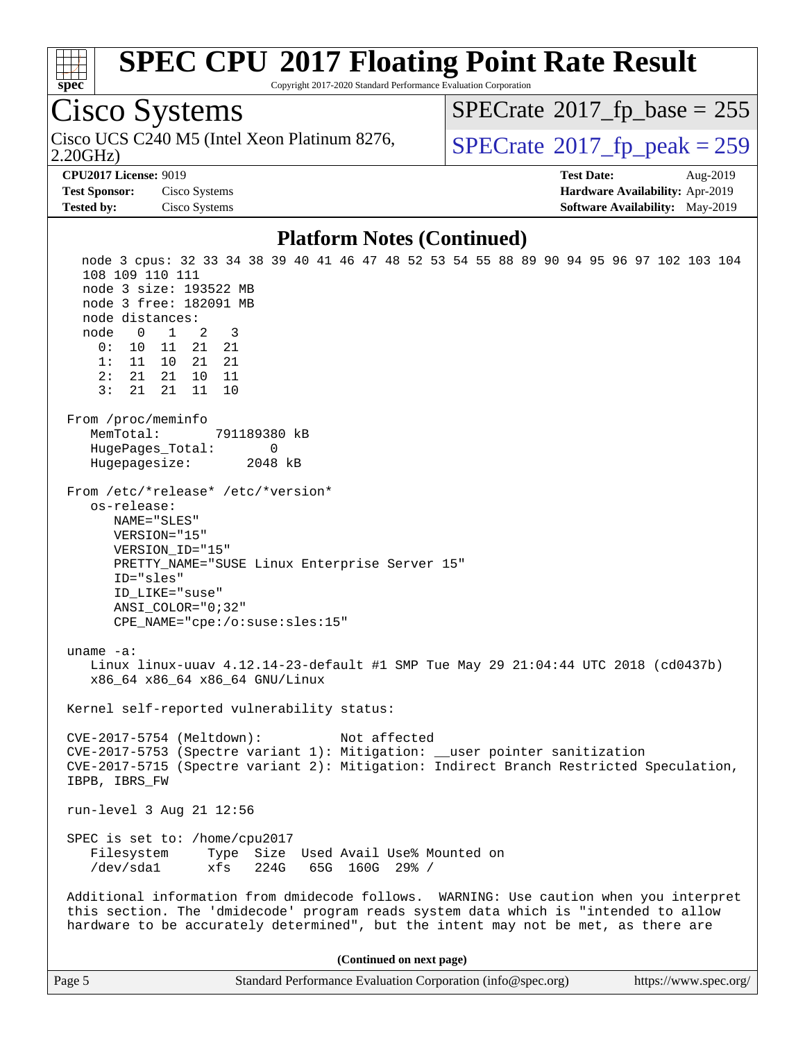

Copyright 2017-2020 Standard Performance Evaluation Corporation

Cisco Systems 2.20GHz) Cisco UCS C240 M5 (Intel Xeon Platinum 8276,  $\vert$ [SPECrate](http://www.spec.org/auto/cpu2017/Docs/result-fields.html#SPECrate2017fppeak)®[2017\\_fp\\_peak = 2](http://www.spec.org/auto/cpu2017/Docs/result-fields.html#SPECrate2017fppeak)59  $SPECTate$ <sup>®</sup>[2017\\_fp\\_base =](http://www.spec.org/auto/cpu2017/Docs/result-fields.html#SPECrate2017fpbase) 255 **[CPU2017 License:](http://www.spec.org/auto/cpu2017/Docs/result-fields.html#CPU2017License)** 9019 **[Test Date:](http://www.spec.org/auto/cpu2017/Docs/result-fields.html#TestDate)** Aug-2019 **[Test Sponsor:](http://www.spec.org/auto/cpu2017/Docs/result-fields.html#TestSponsor)** Cisco Systems **[Hardware Availability:](http://www.spec.org/auto/cpu2017/Docs/result-fields.html#HardwareAvailability)** Apr-2019 **[Tested by:](http://www.spec.org/auto/cpu2017/Docs/result-fields.html#Testedby)** Cisco Systems **[Software Availability:](http://www.spec.org/auto/cpu2017/Docs/result-fields.html#SoftwareAvailability)** May-2019 **[Platform Notes \(Continued\)](http://www.spec.org/auto/cpu2017/Docs/result-fields.html#PlatformNotes)** node 3 cpus: 32 33 34 38 39 40 41 46 47 48 52 53 54 55 88 89 90 94 95 96 97 102 103 104 108 109 110 111 node 3 size: 193522 MB node 3 free: 182091 MB node distances: node 0 1 2 3 0: 10 11 21 21 1: 11 10 21 21 2: 21 21 10 11 3: 21 21 11 10 From /proc/meminfo MemTotal: 791189380 kB HugePages\_Total: 0 Hugepagesize: 2048 kB From /etc/\*release\* /etc/\*version\* os-release: NAME="SLES" VERSION="15" VERSION\_ID="15" PRETTY\_NAME="SUSE Linux Enterprise Server 15" ID="sles" ID\_LIKE="suse" ANSI\_COLOR="0;32" CPE\_NAME="cpe:/o:suse:sles:15" uname -a: Linux linux-uuav 4.12.14-23-default #1 SMP Tue May 29 21:04:44 UTC 2018 (cd0437b) x86\_64 x86\_64 x86\_64 GNU/Linux Kernel self-reported vulnerability status: CVE-2017-5754 (Meltdown): Not affected CVE-2017-5753 (Spectre variant 1): Mitigation: \_\_user pointer sanitization CVE-2017-5715 (Spectre variant 2): Mitigation: Indirect Branch Restricted Speculation, IBPB, IBRS\_FW run-level 3 Aug 21 12:56 SPEC is set to: /home/cpu2017 Filesystem Type Size Used Avail Use% Mounted on /dev/sda1 xfs 224G 65G 160G 29% / Additional information from dmidecode follows. WARNING: Use caution when you interpret this section. The 'dmidecode' program reads system data which is "intended to allow hardware to be accurately determined", but the intent may not be met, as there are **(Continued on next page)**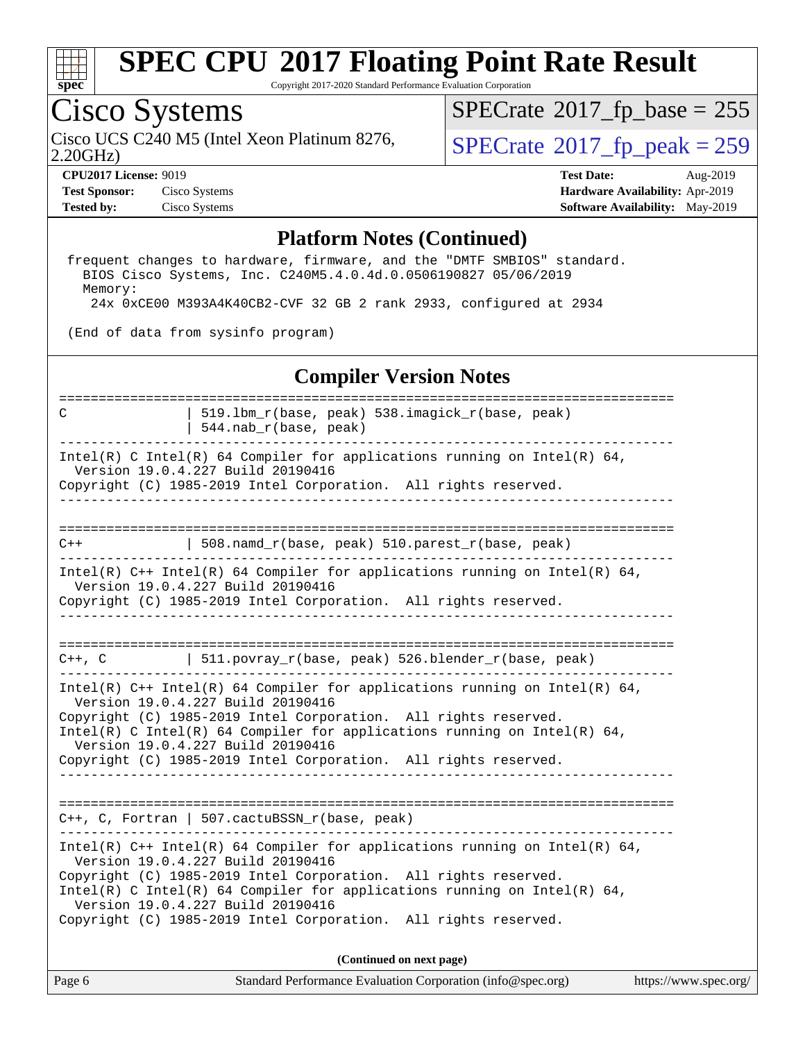

Copyright 2017-2020 Standard Performance Evaluation Corporation

## Cisco Systems

2.20GHz) Cisco UCS C240 M5 (Intel Xeon Platinum 8276,  $SPECrate@2017_fp\_peak = 259$  $SPECrate@2017_fp\_peak = 259$ 

 $SPECTate$ <sup>®</sup>[2017\\_fp\\_base =](http://www.spec.org/auto/cpu2017/Docs/result-fields.html#SPECrate2017fpbase) 255

**[Test Sponsor:](http://www.spec.org/auto/cpu2017/Docs/result-fields.html#TestSponsor)** Cisco Systems **[Hardware Availability:](http://www.spec.org/auto/cpu2017/Docs/result-fields.html#HardwareAvailability)** Apr-2019

**[CPU2017 License:](http://www.spec.org/auto/cpu2017/Docs/result-fields.html#CPU2017License)** 9019 **[Test Date:](http://www.spec.org/auto/cpu2017/Docs/result-fields.html#TestDate)** Aug-2019 **[Tested by:](http://www.spec.org/auto/cpu2017/Docs/result-fields.html#Testedby)** Cisco Systems **[Software Availability:](http://www.spec.org/auto/cpu2017/Docs/result-fields.html#SoftwareAvailability)** May-2019

#### **[Platform Notes \(Continued\)](http://www.spec.org/auto/cpu2017/Docs/result-fields.html#PlatformNotes)**

 frequent changes to hardware, firmware, and the "DMTF SMBIOS" standard. BIOS Cisco Systems, Inc. C240M5.4.0.4d.0.0506190827 05/06/2019 Memory: 24x 0xCE00 M393A4K40CB2-CVF 32 GB 2 rank 2933, configured at 2934

(End of data from sysinfo program)

#### **[Compiler Version Notes](http://www.spec.org/auto/cpu2017/Docs/result-fields.html#CompilerVersionNotes)**

| C                                                                                                                                                                                | 519.1bm_r(base, peak) 538.imagick_r(base, peak)<br>$544.nab_r(base, peak)$                                        |  |  |  |
|----------------------------------------------------------------------------------------------------------------------------------------------------------------------------------|-------------------------------------------------------------------------------------------------------------------|--|--|--|
| Intel(R) C Intel(R) 64 Compiler for applications running on Intel(R) 64,<br>Version 19.0.4.227 Build 20190416                                                                    |                                                                                                                   |  |  |  |
|                                                                                                                                                                                  | Copyright (C) 1985-2019 Intel Corporation. All rights reserved.                                                   |  |  |  |
|                                                                                                                                                                                  |                                                                                                                   |  |  |  |
| $C++$                                                                                                                                                                            | 508.namd_r(base, peak) 510.parest_r(base, peak)                                                                   |  |  |  |
|                                                                                                                                                                                  | Intel(R) $C++$ Intel(R) 64 Compiler for applications running on Intel(R) 64,<br>Version 19.0.4.227 Build 20190416 |  |  |  |
|                                                                                                                                                                                  | Copyright (C) 1985-2019 Intel Corporation. All rights reserved.                                                   |  |  |  |
|                                                                                                                                                                                  | --------------                                                                                                    |  |  |  |
|                                                                                                                                                                                  |                                                                                                                   |  |  |  |
|                                                                                                                                                                                  | C++, C $ 511.povray_r(base, peak) 526.blender_r(base, peak)$                                                      |  |  |  |
| Intel(R) $C++$ Intel(R) 64 Compiler for applications running on Intel(R) 64,<br>Version 19.0.4.227 Build 20190416                                                                |                                                                                                                   |  |  |  |
| Copyright (C) 1985-2019 Intel Corporation. All rights reserved.<br>Intel(R) C Intel(R) 64 Compiler for applications running on Intel(R) 64,                                      |                                                                                                                   |  |  |  |
| Version 19.0.4.227 Build 20190416<br>Copyright (C) 1985-2019 Intel Corporation. All rights reserved.                                                                             |                                                                                                                   |  |  |  |
| -----------------------------------                                                                                                                                              |                                                                                                                   |  |  |  |
|                                                                                                                                                                                  |                                                                                                                   |  |  |  |
| C++, C, Fortran   507.cactuBSSN_r(base, peak)                                                                                                                                    |                                                                                                                   |  |  |  |
| Intel(R) $C++$ Intel(R) 64 Compiler for applications running on Intel(R) 64,<br>Version 19.0.4.227 Build 20190416                                                                |                                                                                                                   |  |  |  |
| Copyright (C) 1985-2019 Intel Corporation. All rights reserved.<br>Intel(R) C Intel(R) 64 Compiler for applications running on Intel(R) 64,<br>Version 19.0.4.227 Build 20190416 |                                                                                                                   |  |  |  |
|                                                                                                                                                                                  | Copyright (C) 1985-2019 Intel Corporation. All rights reserved.                                                   |  |  |  |
|                                                                                                                                                                                  |                                                                                                                   |  |  |  |
| (Continued on next page)                                                                                                                                                         |                                                                                                                   |  |  |  |

Page 6 Standard Performance Evaluation Corporation [\(info@spec.org\)](mailto:info@spec.org) <https://www.spec.org/>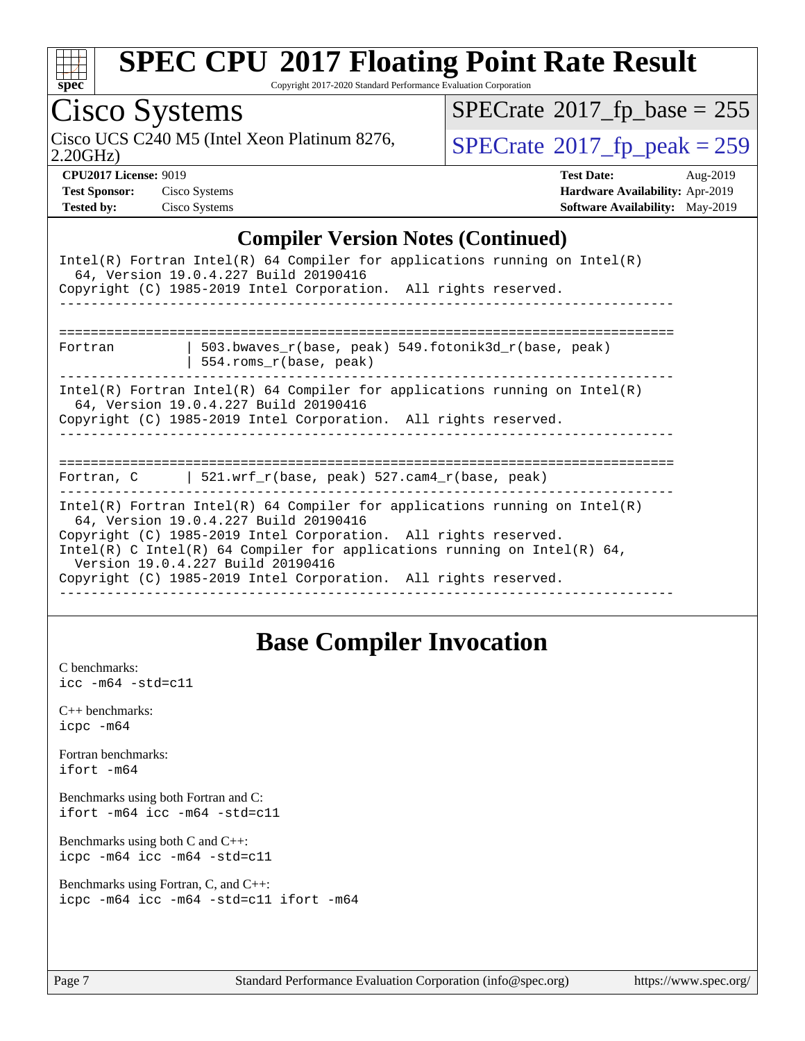

Copyright 2017-2020 Standard Performance Evaluation Corporation

## Cisco Systems

2.20GHz) Cisco UCS C240 M5 (Intel Xeon Platinum 8276,  $SPECrate@2017_fp\_peak = 259$  $SPECrate@2017_fp\_peak = 259$ 

 $SPECTate$ <sup>®</sup>[2017\\_fp\\_base =](http://www.spec.org/auto/cpu2017/Docs/result-fields.html#SPECrate2017fpbase) 255

**[Test Sponsor:](http://www.spec.org/auto/cpu2017/Docs/result-fields.html#TestSponsor)** Cisco Systems **[Hardware Availability:](http://www.spec.org/auto/cpu2017/Docs/result-fields.html#HardwareAvailability)** Apr-2019

**[CPU2017 License:](http://www.spec.org/auto/cpu2017/Docs/result-fields.html#CPU2017License)** 9019 **[Test Date:](http://www.spec.org/auto/cpu2017/Docs/result-fields.html#TestDate)** Aug-2019 **[Tested by:](http://www.spec.org/auto/cpu2017/Docs/result-fields.html#Testedby)** Cisco Systems **[Software Availability:](http://www.spec.org/auto/cpu2017/Docs/result-fields.html#SoftwareAvailability)** May-2019

### **[Compiler Version Notes \(Continued\)](http://www.spec.org/auto/cpu2017/Docs/result-fields.html#CompilerVersionNotes)**

|                                                                                                                                                                                                                                                                                                                                                                              | Intel(R) Fortran Intel(R) 64 Compiler for applications running on Intel(R)<br>64, Version 19.0.4.227 Build 20190416<br>Copyright (C) 1985-2019 Intel Corporation. All rights reserved. |  |  |  |
|------------------------------------------------------------------------------------------------------------------------------------------------------------------------------------------------------------------------------------------------------------------------------------------------------------------------------------------------------------------------------|----------------------------------------------------------------------------------------------------------------------------------------------------------------------------------------|--|--|--|
|                                                                                                                                                                                                                                                                                                                                                                              |                                                                                                                                                                                        |  |  |  |
| Fortran                                                                                                                                                                                                                                                                                                                                                                      | 503.bwaves r(base, peak) 549.fotonik3d r(base, peak)<br>554.roms r(base, peak)                                                                                                         |  |  |  |
| Intel(R) Fortran Intel(R) 64 Compiler for applications running on Intel(R)<br>64, Version 19.0.4.227 Build 20190416<br>Copyright (C) 1985-2019 Intel Corporation. All rights reserved.                                                                                                                                                                                       |                                                                                                                                                                                        |  |  |  |
|                                                                                                                                                                                                                                                                                                                                                                              |                                                                                                                                                                                        |  |  |  |
|                                                                                                                                                                                                                                                                                                                                                                              | Fortran, C   521.wrf_r(base, peak) 527.cam4_r(base, peak)                                                                                                                              |  |  |  |
| $Intel(R)$ Fortran Intel(R) 64 Compiler for applications running on Intel(R)<br>64, Version 19.0.4.227 Build 20190416<br>Copyright (C) 1985-2019 Intel Corporation. All rights reserved.<br>Intel(R) C Intel(R) 64 Compiler for applications running on Intel(R) 64,<br>Version 19.0.4.227 Build 20190416<br>Copyright (C) 1985-2019 Intel Corporation. All rights reserved. |                                                                                                                                                                                        |  |  |  |

### **[Base Compiler Invocation](http://www.spec.org/auto/cpu2017/Docs/result-fields.html#BaseCompilerInvocation)**

[C benchmarks](http://www.spec.org/auto/cpu2017/Docs/result-fields.html#Cbenchmarks): [icc -m64 -std=c11](http://www.spec.org/cpu2017/results/res2019q3/cpu2017-20190903-17784.flags.html#user_CCbase_intel_icc_64bit_c11_33ee0cdaae7deeeab2a9725423ba97205ce30f63b9926c2519791662299b76a0318f32ddfffdc46587804de3178b4f9328c46fa7c2b0cd779d7a61945c91cd35)

[C++ benchmarks:](http://www.spec.org/auto/cpu2017/Docs/result-fields.html#CXXbenchmarks) [icpc -m64](http://www.spec.org/cpu2017/results/res2019q3/cpu2017-20190903-17784.flags.html#user_CXXbase_intel_icpc_64bit_4ecb2543ae3f1412ef961e0650ca070fec7b7afdcd6ed48761b84423119d1bf6bdf5cad15b44d48e7256388bc77273b966e5eb805aefd121eb22e9299b2ec9d9)

[Fortran benchmarks](http://www.spec.org/auto/cpu2017/Docs/result-fields.html#Fortranbenchmarks): [ifort -m64](http://www.spec.org/cpu2017/results/res2019q3/cpu2017-20190903-17784.flags.html#user_FCbase_intel_ifort_64bit_24f2bb282fbaeffd6157abe4f878425411749daecae9a33200eee2bee2fe76f3b89351d69a8130dd5949958ce389cf37ff59a95e7a40d588e8d3a57e0c3fd751)

[Benchmarks using both Fortran and C](http://www.spec.org/auto/cpu2017/Docs/result-fields.html#BenchmarksusingbothFortranandC): [ifort -m64](http://www.spec.org/cpu2017/results/res2019q3/cpu2017-20190903-17784.flags.html#user_CC_FCbase_intel_ifort_64bit_24f2bb282fbaeffd6157abe4f878425411749daecae9a33200eee2bee2fe76f3b89351d69a8130dd5949958ce389cf37ff59a95e7a40d588e8d3a57e0c3fd751) [icc -m64 -std=c11](http://www.spec.org/cpu2017/results/res2019q3/cpu2017-20190903-17784.flags.html#user_CC_FCbase_intel_icc_64bit_c11_33ee0cdaae7deeeab2a9725423ba97205ce30f63b9926c2519791662299b76a0318f32ddfffdc46587804de3178b4f9328c46fa7c2b0cd779d7a61945c91cd35)

[Benchmarks using both C and C++](http://www.spec.org/auto/cpu2017/Docs/result-fields.html#BenchmarksusingbothCandCXX): [icpc -m64](http://www.spec.org/cpu2017/results/res2019q3/cpu2017-20190903-17784.flags.html#user_CC_CXXbase_intel_icpc_64bit_4ecb2543ae3f1412ef961e0650ca070fec7b7afdcd6ed48761b84423119d1bf6bdf5cad15b44d48e7256388bc77273b966e5eb805aefd121eb22e9299b2ec9d9) [icc -m64 -std=c11](http://www.spec.org/cpu2017/results/res2019q3/cpu2017-20190903-17784.flags.html#user_CC_CXXbase_intel_icc_64bit_c11_33ee0cdaae7deeeab2a9725423ba97205ce30f63b9926c2519791662299b76a0318f32ddfffdc46587804de3178b4f9328c46fa7c2b0cd779d7a61945c91cd35)

[Benchmarks using Fortran, C, and C++:](http://www.spec.org/auto/cpu2017/Docs/result-fields.html#BenchmarksusingFortranCandCXX) [icpc -m64](http://www.spec.org/cpu2017/results/res2019q3/cpu2017-20190903-17784.flags.html#user_CC_CXX_FCbase_intel_icpc_64bit_4ecb2543ae3f1412ef961e0650ca070fec7b7afdcd6ed48761b84423119d1bf6bdf5cad15b44d48e7256388bc77273b966e5eb805aefd121eb22e9299b2ec9d9) [icc -m64 -std=c11](http://www.spec.org/cpu2017/results/res2019q3/cpu2017-20190903-17784.flags.html#user_CC_CXX_FCbase_intel_icc_64bit_c11_33ee0cdaae7deeeab2a9725423ba97205ce30f63b9926c2519791662299b76a0318f32ddfffdc46587804de3178b4f9328c46fa7c2b0cd779d7a61945c91cd35) [ifort -m64](http://www.spec.org/cpu2017/results/res2019q3/cpu2017-20190903-17784.flags.html#user_CC_CXX_FCbase_intel_ifort_64bit_24f2bb282fbaeffd6157abe4f878425411749daecae9a33200eee2bee2fe76f3b89351d69a8130dd5949958ce389cf37ff59a95e7a40d588e8d3a57e0c3fd751)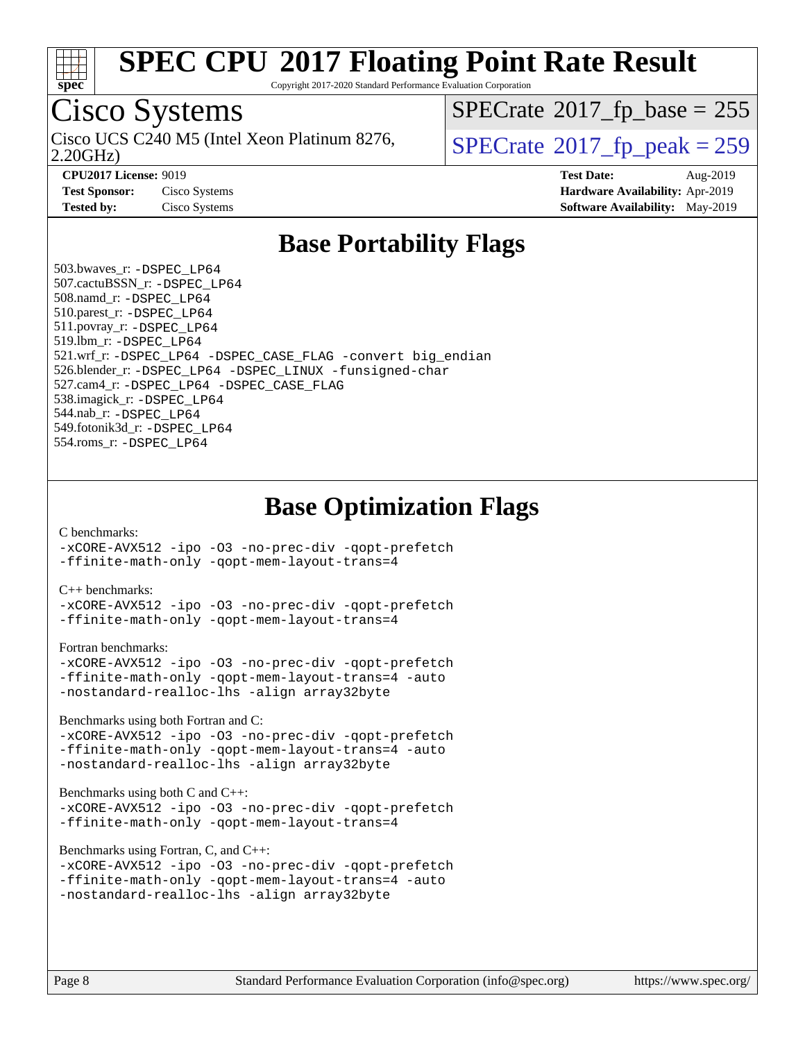

Copyright 2017-2020 Standard Performance Evaluation Corporation

## Cisco Systems

2.20GHz) Cisco UCS C240 M5 (Intel Xeon Platinum 8276,  $\vert$ [SPECrate](http://www.spec.org/auto/cpu2017/Docs/result-fields.html#SPECrate2017fppeak)®[2017\\_fp\\_peak = 2](http://www.spec.org/auto/cpu2017/Docs/result-fields.html#SPECrate2017fppeak)59

 $SPECrate$ <sup>®</sup>[2017\\_fp\\_base =](http://www.spec.org/auto/cpu2017/Docs/result-fields.html#SPECrate2017fpbase) 255

**[CPU2017 License:](http://www.spec.org/auto/cpu2017/Docs/result-fields.html#CPU2017License)** 9019 **[Test Date:](http://www.spec.org/auto/cpu2017/Docs/result-fields.html#TestDate)** Aug-2019 **[Test Sponsor:](http://www.spec.org/auto/cpu2017/Docs/result-fields.html#TestSponsor)** Cisco Systems **[Hardware Availability:](http://www.spec.org/auto/cpu2017/Docs/result-fields.html#HardwareAvailability)** Apr-2019 **[Tested by:](http://www.spec.org/auto/cpu2017/Docs/result-fields.html#Testedby)** Cisco Systems **[Software Availability:](http://www.spec.org/auto/cpu2017/Docs/result-fields.html#SoftwareAvailability)** May-2019

### **[Base Portability Flags](http://www.spec.org/auto/cpu2017/Docs/result-fields.html#BasePortabilityFlags)**

 503.bwaves\_r: [-DSPEC\\_LP64](http://www.spec.org/cpu2017/results/res2019q3/cpu2017-20190903-17784.flags.html#suite_basePORTABILITY503_bwaves_r_DSPEC_LP64) 507.cactuBSSN\_r: [-DSPEC\\_LP64](http://www.spec.org/cpu2017/results/res2019q3/cpu2017-20190903-17784.flags.html#suite_basePORTABILITY507_cactuBSSN_r_DSPEC_LP64) 508.namd\_r: [-DSPEC\\_LP64](http://www.spec.org/cpu2017/results/res2019q3/cpu2017-20190903-17784.flags.html#suite_basePORTABILITY508_namd_r_DSPEC_LP64) 510.parest\_r: [-DSPEC\\_LP64](http://www.spec.org/cpu2017/results/res2019q3/cpu2017-20190903-17784.flags.html#suite_basePORTABILITY510_parest_r_DSPEC_LP64) 511.povray\_r: [-DSPEC\\_LP64](http://www.spec.org/cpu2017/results/res2019q3/cpu2017-20190903-17784.flags.html#suite_basePORTABILITY511_povray_r_DSPEC_LP64) 519.lbm\_r: [-DSPEC\\_LP64](http://www.spec.org/cpu2017/results/res2019q3/cpu2017-20190903-17784.flags.html#suite_basePORTABILITY519_lbm_r_DSPEC_LP64) 521.wrf\_r: [-DSPEC\\_LP64](http://www.spec.org/cpu2017/results/res2019q3/cpu2017-20190903-17784.flags.html#suite_basePORTABILITY521_wrf_r_DSPEC_LP64) [-DSPEC\\_CASE\\_FLAG](http://www.spec.org/cpu2017/results/res2019q3/cpu2017-20190903-17784.flags.html#b521.wrf_r_baseCPORTABILITY_DSPEC_CASE_FLAG) [-convert big\\_endian](http://www.spec.org/cpu2017/results/res2019q3/cpu2017-20190903-17784.flags.html#user_baseFPORTABILITY521_wrf_r_convert_big_endian_c3194028bc08c63ac5d04de18c48ce6d347e4e562e8892b8bdbdc0214820426deb8554edfa529a3fb25a586e65a3d812c835984020483e7e73212c4d31a38223) 526.blender\_r: [-DSPEC\\_LP64](http://www.spec.org/cpu2017/results/res2019q3/cpu2017-20190903-17784.flags.html#suite_basePORTABILITY526_blender_r_DSPEC_LP64) [-DSPEC\\_LINUX](http://www.spec.org/cpu2017/results/res2019q3/cpu2017-20190903-17784.flags.html#b526.blender_r_baseCPORTABILITY_DSPEC_LINUX) [-funsigned-char](http://www.spec.org/cpu2017/results/res2019q3/cpu2017-20190903-17784.flags.html#user_baseCPORTABILITY526_blender_r_force_uchar_40c60f00ab013830e2dd6774aeded3ff59883ba5a1fc5fc14077f794d777847726e2a5858cbc7672e36e1b067e7e5c1d9a74f7176df07886a243d7cc18edfe67) 527.cam4\_r: [-DSPEC\\_LP64](http://www.spec.org/cpu2017/results/res2019q3/cpu2017-20190903-17784.flags.html#suite_basePORTABILITY527_cam4_r_DSPEC_LP64) [-DSPEC\\_CASE\\_FLAG](http://www.spec.org/cpu2017/results/res2019q3/cpu2017-20190903-17784.flags.html#b527.cam4_r_baseCPORTABILITY_DSPEC_CASE_FLAG) 538.imagick\_r: [-DSPEC\\_LP64](http://www.spec.org/cpu2017/results/res2019q3/cpu2017-20190903-17784.flags.html#suite_basePORTABILITY538_imagick_r_DSPEC_LP64) 544.nab\_r: [-DSPEC\\_LP64](http://www.spec.org/cpu2017/results/res2019q3/cpu2017-20190903-17784.flags.html#suite_basePORTABILITY544_nab_r_DSPEC_LP64) 549.fotonik3d\_r: [-DSPEC\\_LP64](http://www.spec.org/cpu2017/results/res2019q3/cpu2017-20190903-17784.flags.html#suite_basePORTABILITY549_fotonik3d_r_DSPEC_LP64) 554.roms\_r: [-DSPEC\\_LP64](http://www.spec.org/cpu2017/results/res2019q3/cpu2017-20190903-17784.flags.html#suite_basePORTABILITY554_roms_r_DSPEC_LP64)

**[Base Optimization Flags](http://www.spec.org/auto/cpu2017/Docs/result-fields.html#BaseOptimizationFlags)**

[C benchmarks](http://www.spec.org/auto/cpu2017/Docs/result-fields.html#Cbenchmarks):

[-xCORE-AVX512](http://www.spec.org/cpu2017/results/res2019q3/cpu2017-20190903-17784.flags.html#user_CCbase_f-xCORE-AVX512) [-ipo](http://www.spec.org/cpu2017/results/res2019q3/cpu2017-20190903-17784.flags.html#user_CCbase_f-ipo) [-O3](http://www.spec.org/cpu2017/results/res2019q3/cpu2017-20190903-17784.flags.html#user_CCbase_f-O3) [-no-prec-div](http://www.spec.org/cpu2017/results/res2019q3/cpu2017-20190903-17784.flags.html#user_CCbase_f-no-prec-div) [-qopt-prefetch](http://www.spec.org/cpu2017/results/res2019q3/cpu2017-20190903-17784.flags.html#user_CCbase_f-qopt-prefetch) [-ffinite-math-only](http://www.spec.org/cpu2017/results/res2019q3/cpu2017-20190903-17784.flags.html#user_CCbase_f_finite_math_only_cb91587bd2077682c4b38af759c288ed7c732db004271a9512da14a4f8007909a5f1427ecbf1a0fb78ff2a814402c6114ac565ca162485bbcae155b5e4258871) [-qopt-mem-layout-trans=4](http://www.spec.org/cpu2017/results/res2019q3/cpu2017-20190903-17784.flags.html#user_CCbase_f-qopt-mem-layout-trans_fa39e755916c150a61361b7846f310bcdf6f04e385ef281cadf3647acec3f0ae266d1a1d22d972a7087a248fd4e6ca390a3634700869573d231a252c784941a8)

[C++ benchmarks:](http://www.spec.org/auto/cpu2017/Docs/result-fields.html#CXXbenchmarks)

[-xCORE-AVX512](http://www.spec.org/cpu2017/results/res2019q3/cpu2017-20190903-17784.flags.html#user_CXXbase_f-xCORE-AVX512) [-ipo](http://www.spec.org/cpu2017/results/res2019q3/cpu2017-20190903-17784.flags.html#user_CXXbase_f-ipo) [-O3](http://www.spec.org/cpu2017/results/res2019q3/cpu2017-20190903-17784.flags.html#user_CXXbase_f-O3) [-no-prec-div](http://www.spec.org/cpu2017/results/res2019q3/cpu2017-20190903-17784.flags.html#user_CXXbase_f-no-prec-div) [-qopt-prefetch](http://www.spec.org/cpu2017/results/res2019q3/cpu2017-20190903-17784.flags.html#user_CXXbase_f-qopt-prefetch) [-ffinite-math-only](http://www.spec.org/cpu2017/results/res2019q3/cpu2017-20190903-17784.flags.html#user_CXXbase_f_finite_math_only_cb91587bd2077682c4b38af759c288ed7c732db004271a9512da14a4f8007909a5f1427ecbf1a0fb78ff2a814402c6114ac565ca162485bbcae155b5e4258871) [-qopt-mem-layout-trans=4](http://www.spec.org/cpu2017/results/res2019q3/cpu2017-20190903-17784.flags.html#user_CXXbase_f-qopt-mem-layout-trans_fa39e755916c150a61361b7846f310bcdf6f04e385ef281cadf3647acec3f0ae266d1a1d22d972a7087a248fd4e6ca390a3634700869573d231a252c784941a8)

[Fortran benchmarks](http://www.spec.org/auto/cpu2017/Docs/result-fields.html#Fortranbenchmarks):

```
-xCORE-AVX512 -ipo -O3 -no-prec-div -qopt-prefetch
-ffinite-math-only -qopt-mem-layout-trans=4 -auto
-nostandard-realloc-lhs -align array32byte
```
[Benchmarks using both Fortran and C](http://www.spec.org/auto/cpu2017/Docs/result-fields.html#BenchmarksusingbothFortranandC):

```
-xCORE-AVX512 -ipo -O3 -no-prec-div -qopt-prefetch
-ffinite-math-only -qopt-mem-layout-trans=4 -auto
-nostandard-realloc-lhs -align array32byte
```
[Benchmarks using both C and C++](http://www.spec.org/auto/cpu2017/Docs/result-fields.html#BenchmarksusingbothCandCXX):

[-xCORE-AVX512](http://www.spec.org/cpu2017/results/res2019q3/cpu2017-20190903-17784.flags.html#user_CC_CXXbase_f-xCORE-AVX512) [-ipo](http://www.spec.org/cpu2017/results/res2019q3/cpu2017-20190903-17784.flags.html#user_CC_CXXbase_f-ipo) [-O3](http://www.spec.org/cpu2017/results/res2019q3/cpu2017-20190903-17784.flags.html#user_CC_CXXbase_f-O3) [-no-prec-div](http://www.spec.org/cpu2017/results/res2019q3/cpu2017-20190903-17784.flags.html#user_CC_CXXbase_f-no-prec-div) [-qopt-prefetch](http://www.spec.org/cpu2017/results/res2019q3/cpu2017-20190903-17784.flags.html#user_CC_CXXbase_f-qopt-prefetch) [-ffinite-math-only](http://www.spec.org/cpu2017/results/res2019q3/cpu2017-20190903-17784.flags.html#user_CC_CXXbase_f_finite_math_only_cb91587bd2077682c4b38af759c288ed7c732db004271a9512da14a4f8007909a5f1427ecbf1a0fb78ff2a814402c6114ac565ca162485bbcae155b5e4258871) [-qopt-mem-layout-trans=4](http://www.spec.org/cpu2017/results/res2019q3/cpu2017-20190903-17784.flags.html#user_CC_CXXbase_f-qopt-mem-layout-trans_fa39e755916c150a61361b7846f310bcdf6f04e385ef281cadf3647acec3f0ae266d1a1d22d972a7087a248fd4e6ca390a3634700869573d231a252c784941a8)

[Benchmarks using Fortran, C, and C++:](http://www.spec.org/auto/cpu2017/Docs/result-fields.html#BenchmarksusingFortranCandCXX)

```
-xCORE-AVX512 -ipo -O3 -no-prec-div -qopt-prefetch
-ffinite-math-only -qopt-mem-layout-trans=4 -auto
-nostandard-realloc-lhs -align array32byte
```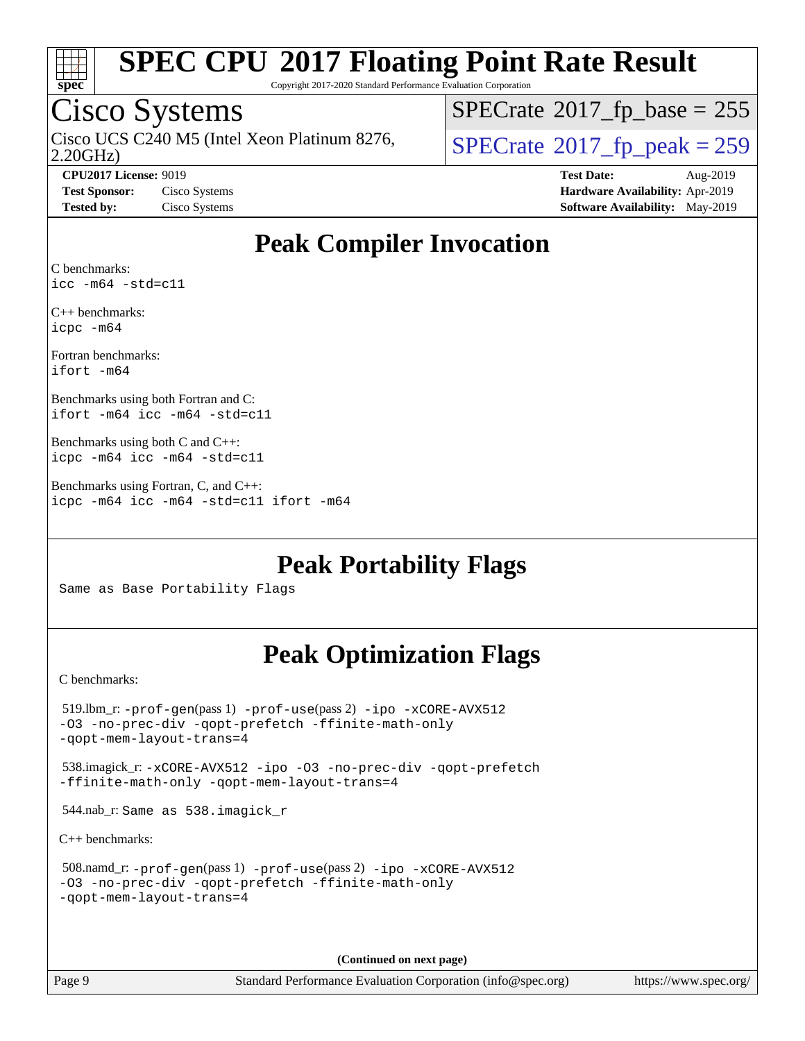

Copyright 2017-2020 Standard Performance Evaluation Corporation

### Cisco Systems

2.20GHz) Cisco UCS C240 M5 (Intel Xeon Platinum 8276,  $\vert$ [SPECrate](http://www.spec.org/auto/cpu2017/Docs/result-fields.html#SPECrate2017fppeak)®[2017\\_fp\\_peak = 2](http://www.spec.org/auto/cpu2017/Docs/result-fields.html#SPECrate2017fppeak)59

 $SPECTate$ <sup>®</sup>[2017\\_fp\\_base =](http://www.spec.org/auto/cpu2017/Docs/result-fields.html#SPECrate2017fpbase) 255

**[CPU2017 License:](http://www.spec.org/auto/cpu2017/Docs/result-fields.html#CPU2017License)** 9019 **[Test Date:](http://www.spec.org/auto/cpu2017/Docs/result-fields.html#TestDate)** Aug-2019 **[Test Sponsor:](http://www.spec.org/auto/cpu2017/Docs/result-fields.html#TestSponsor)** Cisco Systems **[Hardware Availability:](http://www.spec.org/auto/cpu2017/Docs/result-fields.html#HardwareAvailability)** Apr-2019 **[Tested by:](http://www.spec.org/auto/cpu2017/Docs/result-fields.html#Testedby)** Cisco Systems **[Software Availability:](http://www.spec.org/auto/cpu2017/Docs/result-fields.html#SoftwareAvailability)** May-2019

### **[Peak Compiler Invocation](http://www.spec.org/auto/cpu2017/Docs/result-fields.html#PeakCompilerInvocation)**

[C benchmarks](http://www.spec.org/auto/cpu2017/Docs/result-fields.html#Cbenchmarks): [icc -m64 -std=c11](http://www.spec.org/cpu2017/results/res2019q3/cpu2017-20190903-17784.flags.html#user_CCpeak_intel_icc_64bit_c11_33ee0cdaae7deeeab2a9725423ba97205ce30f63b9926c2519791662299b76a0318f32ddfffdc46587804de3178b4f9328c46fa7c2b0cd779d7a61945c91cd35)

[C++ benchmarks:](http://www.spec.org/auto/cpu2017/Docs/result-fields.html#CXXbenchmarks) [icpc -m64](http://www.spec.org/cpu2017/results/res2019q3/cpu2017-20190903-17784.flags.html#user_CXXpeak_intel_icpc_64bit_4ecb2543ae3f1412ef961e0650ca070fec7b7afdcd6ed48761b84423119d1bf6bdf5cad15b44d48e7256388bc77273b966e5eb805aefd121eb22e9299b2ec9d9)

[Fortran benchmarks](http://www.spec.org/auto/cpu2017/Docs/result-fields.html#Fortranbenchmarks): [ifort -m64](http://www.spec.org/cpu2017/results/res2019q3/cpu2017-20190903-17784.flags.html#user_FCpeak_intel_ifort_64bit_24f2bb282fbaeffd6157abe4f878425411749daecae9a33200eee2bee2fe76f3b89351d69a8130dd5949958ce389cf37ff59a95e7a40d588e8d3a57e0c3fd751)

[Benchmarks using both Fortran and C](http://www.spec.org/auto/cpu2017/Docs/result-fields.html#BenchmarksusingbothFortranandC): [ifort -m64](http://www.spec.org/cpu2017/results/res2019q3/cpu2017-20190903-17784.flags.html#user_CC_FCpeak_intel_ifort_64bit_24f2bb282fbaeffd6157abe4f878425411749daecae9a33200eee2bee2fe76f3b89351d69a8130dd5949958ce389cf37ff59a95e7a40d588e8d3a57e0c3fd751) [icc -m64 -std=c11](http://www.spec.org/cpu2017/results/res2019q3/cpu2017-20190903-17784.flags.html#user_CC_FCpeak_intel_icc_64bit_c11_33ee0cdaae7deeeab2a9725423ba97205ce30f63b9926c2519791662299b76a0318f32ddfffdc46587804de3178b4f9328c46fa7c2b0cd779d7a61945c91cd35)

[Benchmarks using both C and C++:](http://www.spec.org/auto/cpu2017/Docs/result-fields.html#BenchmarksusingbothCandCXX) [icpc -m64](http://www.spec.org/cpu2017/results/res2019q3/cpu2017-20190903-17784.flags.html#user_CC_CXXpeak_intel_icpc_64bit_4ecb2543ae3f1412ef961e0650ca070fec7b7afdcd6ed48761b84423119d1bf6bdf5cad15b44d48e7256388bc77273b966e5eb805aefd121eb22e9299b2ec9d9) [icc -m64 -std=c11](http://www.spec.org/cpu2017/results/res2019q3/cpu2017-20190903-17784.flags.html#user_CC_CXXpeak_intel_icc_64bit_c11_33ee0cdaae7deeeab2a9725423ba97205ce30f63b9926c2519791662299b76a0318f32ddfffdc46587804de3178b4f9328c46fa7c2b0cd779d7a61945c91cd35)

[Benchmarks using Fortran, C, and C++:](http://www.spec.org/auto/cpu2017/Docs/result-fields.html#BenchmarksusingFortranCandCXX) [icpc -m64](http://www.spec.org/cpu2017/results/res2019q3/cpu2017-20190903-17784.flags.html#user_CC_CXX_FCpeak_intel_icpc_64bit_4ecb2543ae3f1412ef961e0650ca070fec7b7afdcd6ed48761b84423119d1bf6bdf5cad15b44d48e7256388bc77273b966e5eb805aefd121eb22e9299b2ec9d9) [icc -m64 -std=c11](http://www.spec.org/cpu2017/results/res2019q3/cpu2017-20190903-17784.flags.html#user_CC_CXX_FCpeak_intel_icc_64bit_c11_33ee0cdaae7deeeab2a9725423ba97205ce30f63b9926c2519791662299b76a0318f32ddfffdc46587804de3178b4f9328c46fa7c2b0cd779d7a61945c91cd35) [ifort -m64](http://www.spec.org/cpu2017/results/res2019q3/cpu2017-20190903-17784.flags.html#user_CC_CXX_FCpeak_intel_ifort_64bit_24f2bb282fbaeffd6157abe4f878425411749daecae9a33200eee2bee2fe76f3b89351d69a8130dd5949958ce389cf37ff59a95e7a40d588e8d3a57e0c3fd751)

**[Peak Portability Flags](http://www.spec.org/auto/cpu2017/Docs/result-fields.html#PeakPortabilityFlags)**

Same as Base Portability Flags

### **[Peak Optimization Flags](http://www.spec.org/auto/cpu2017/Docs/result-fields.html#PeakOptimizationFlags)**

[C benchmarks](http://www.spec.org/auto/cpu2017/Docs/result-fields.html#Cbenchmarks):

 519.lbm\_r: [-prof-gen](http://www.spec.org/cpu2017/results/res2019q3/cpu2017-20190903-17784.flags.html#user_peakPASS1_CFLAGSPASS1_LDFLAGS519_lbm_r_prof_gen_5aa4926d6013ddb2a31985c654b3eb18169fc0c6952a63635c234f711e6e63dd76e94ad52365559451ec499a2cdb89e4dc58ba4c67ef54ca681ffbe1461d6b36)(pass 1) [-prof-use](http://www.spec.org/cpu2017/results/res2019q3/cpu2017-20190903-17784.flags.html#user_peakPASS2_CFLAGSPASS2_LDFLAGS519_lbm_r_prof_use_1a21ceae95f36a2b53c25747139a6c16ca95bd9def2a207b4f0849963b97e94f5260e30a0c64f4bb623698870e679ca08317ef8150905d41bd88c6f78df73f19)(pass 2) [-ipo](http://www.spec.org/cpu2017/results/res2019q3/cpu2017-20190903-17784.flags.html#user_peakPASS1_COPTIMIZEPASS2_COPTIMIZE519_lbm_r_f-ipo) [-xCORE-AVX512](http://www.spec.org/cpu2017/results/res2019q3/cpu2017-20190903-17784.flags.html#user_peakPASS2_COPTIMIZE519_lbm_r_f-xCORE-AVX512) [-O3](http://www.spec.org/cpu2017/results/res2019q3/cpu2017-20190903-17784.flags.html#user_peakPASS1_COPTIMIZEPASS2_COPTIMIZE519_lbm_r_f-O3) [-no-prec-div](http://www.spec.org/cpu2017/results/res2019q3/cpu2017-20190903-17784.flags.html#user_peakPASS1_COPTIMIZEPASS2_COPTIMIZE519_lbm_r_f-no-prec-div) [-qopt-prefetch](http://www.spec.org/cpu2017/results/res2019q3/cpu2017-20190903-17784.flags.html#user_peakPASS1_COPTIMIZEPASS2_COPTIMIZE519_lbm_r_f-qopt-prefetch) [-ffinite-math-only](http://www.spec.org/cpu2017/results/res2019q3/cpu2017-20190903-17784.flags.html#user_peakPASS1_COPTIMIZEPASS2_COPTIMIZE519_lbm_r_f_finite_math_only_cb91587bd2077682c4b38af759c288ed7c732db004271a9512da14a4f8007909a5f1427ecbf1a0fb78ff2a814402c6114ac565ca162485bbcae155b5e4258871) [-qopt-mem-layout-trans=4](http://www.spec.org/cpu2017/results/res2019q3/cpu2017-20190903-17784.flags.html#user_peakPASS1_COPTIMIZEPASS2_COPTIMIZE519_lbm_r_f-qopt-mem-layout-trans_fa39e755916c150a61361b7846f310bcdf6f04e385ef281cadf3647acec3f0ae266d1a1d22d972a7087a248fd4e6ca390a3634700869573d231a252c784941a8) 538.imagick\_r: [-xCORE-AVX512](http://www.spec.org/cpu2017/results/res2019q3/cpu2017-20190903-17784.flags.html#user_peakCOPTIMIZE538_imagick_r_f-xCORE-AVX512) [-ipo](http://www.spec.org/cpu2017/results/res2019q3/cpu2017-20190903-17784.flags.html#user_peakCOPTIMIZE538_imagick_r_f-ipo) [-O3](http://www.spec.org/cpu2017/results/res2019q3/cpu2017-20190903-17784.flags.html#user_peakCOPTIMIZE538_imagick_r_f-O3) [-no-prec-div](http://www.spec.org/cpu2017/results/res2019q3/cpu2017-20190903-17784.flags.html#user_peakCOPTIMIZE538_imagick_r_f-no-prec-div) [-qopt-prefetch](http://www.spec.org/cpu2017/results/res2019q3/cpu2017-20190903-17784.flags.html#user_peakCOPTIMIZE538_imagick_r_f-qopt-prefetch) [-ffinite-math-only](http://www.spec.org/cpu2017/results/res2019q3/cpu2017-20190903-17784.flags.html#user_peakCOPTIMIZE538_imagick_r_f_finite_math_only_cb91587bd2077682c4b38af759c288ed7c732db004271a9512da14a4f8007909a5f1427ecbf1a0fb78ff2a814402c6114ac565ca162485bbcae155b5e4258871) [-qopt-mem-layout-trans=4](http://www.spec.org/cpu2017/results/res2019q3/cpu2017-20190903-17784.flags.html#user_peakCOPTIMIZE538_imagick_r_f-qopt-mem-layout-trans_fa39e755916c150a61361b7846f310bcdf6f04e385ef281cadf3647acec3f0ae266d1a1d22d972a7087a248fd4e6ca390a3634700869573d231a252c784941a8) 544.nab\_r: Same as 538.imagick\_r [C++ benchmarks:](http://www.spec.org/auto/cpu2017/Docs/result-fields.html#CXXbenchmarks) 508.namd\_r: [-prof-gen](http://www.spec.org/cpu2017/results/res2019q3/cpu2017-20190903-17784.flags.html#user_peakPASS1_CXXFLAGSPASS1_LDFLAGS508_namd_r_prof_gen_5aa4926d6013ddb2a31985c654b3eb18169fc0c6952a63635c234f711e6e63dd76e94ad52365559451ec499a2cdb89e4dc58ba4c67ef54ca681ffbe1461d6b36)(pass 1) [-prof-use](http://www.spec.org/cpu2017/results/res2019q3/cpu2017-20190903-17784.flags.html#user_peakPASS2_CXXFLAGSPASS2_LDFLAGS508_namd_r_prof_use_1a21ceae95f36a2b53c25747139a6c16ca95bd9def2a207b4f0849963b97e94f5260e30a0c64f4bb623698870e679ca08317ef8150905d41bd88c6f78df73f19)(pass 2) [-ipo](http://www.spec.org/cpu2017/results/res2019q3/cpu2017-20190903-17784.flags.html#user_peakPASS1_CXXOPTIMIZEPASS2_CXXOPTIMIZE508_namd_r_f-ipo) [-xCORE-AVX512](http://www.spec.org/cpu2017/results/res2019q3/cpu2017-20190903-17784.flags.html#user_peakPASS2_CXXOPTIMIZE508_namd_r_f-xCORE-AVX512) [-O3](http://www.spec.org/cpu2017/results/res2019q3/cpu2017-20190903-17784.flags.html#user_peakPASS1_CXXOPTIMIZEPASS2_CXXOPTIMIZE508_namd_r_f-O3) [-no-prec-div](http://www.spec.org/cpu2017/results/res2019q3/cpu2017-20190903-17784.flags.html#user_peakPASS1_CXXOPTIMIZEPASS2_CXXOPTIMIZE508_namd_r_f-no-prec-div) [-qopt-prefetch](http://www.spec.org/cpu2017/results/res2019q3/cpu2017-20190903-17784.flags.html#user_peakPASS1_CXXOPTIMIZEPASS2_CXXOPTIMIZE508_namd_r_f-qopt-prefetch) [-ffinite-math-only](http://www.spec.org/cpu2017/results/res2019q3/cpu2017-20190903-17784.flags.html#user_peakPASS1_CXXOPTIMIZEPASS2_CXXOPTIMIZE508_namd_r_f_finite_math_only_cb91587bd2077682c4b38af759c288ed7c732db004271a9512da14a4f8007909a5f1427ecbf1a0fb78ff2a814402c6114ac565ca162485bbcae155b5e4258871) [-qopt-mem-layout-trans=4](http://www.spec.org/cpu2017/results/res2019q3/cpu2017-20190903-17784.flags.html#user_peakPASS1_CXXOPTIMIZEPASS2_CXXOPTIMIZE508_namd_r_f-qopt-mem-layout-trans_fa39e755916c150a61361b7846f310bcdf6f04e385ef281cadf3647acec3f0ae266d1a1d22d972a7087a248fd4e6ca390a3634700869573d231a252c784941a8)

**(Continued on next page)**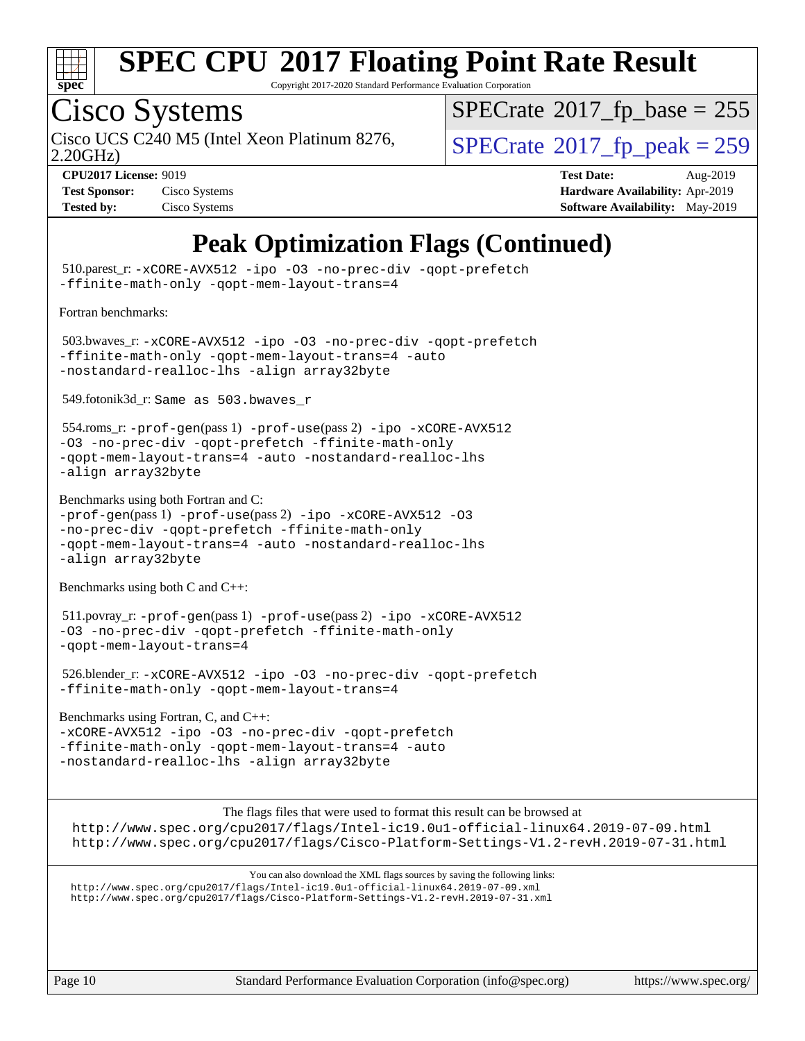

Copyright 2017-2020 Standard Performance Evaluation Corporation

# Cisco Systems

2.20GHz) Cisco UCS C240 M5 (Intel Xeon Platinum 8276,  $\vert$ [SPECrate](http://www.spec.org/auto/cpu2017/Docs/result-fields.html#SPECrate2017fppeak)®[2017\\_fp\\_peak = 2](http://www.spec.org/auto/cpu2017/Docs/result-fields.html#SPECrate2017fppeak)59

 $SPECTate$ <sup>®</sup>[2017\\_fp\\_base =](http://www.spec.org/auto/cpu2017/Docs/result-fields.html#SPECrate2017fpbase) 255

| <b>Test Sponsor:</b> | Cisco Systems |
|----------------------|---------------|
| <b>Tested by:</b>    | Cisco Systems |

**[CPU2017 License:](http://www.spec.org/auto/cpu2017/Docs/result-fields.html#CPU2017License)** 9019 **[Test Date:](http://www.spec.org/auto/cpu2017/Docs/result-fields.html#TestDate)** Aug-2019 **[Hardware Availability:](http://www.spec.org/auto/cpu2017/Docs/result-fields.html#HardwareAvailability)** Apr-2019 **[Software Availability:](http://www.spec.org/auto/cpu2017/Docs/result-fields.html#SoftwareAvailability)** May-2019

## **[Peak Optimization Flags \(Continued\)](http://www.spec.org/auto/cpu2017/Docs/result-fields.html#PeakOptimizationFlags)**

 510.parest\_r: [-xCORE-AVX512](http://www.spec.org/cpu2017/results/res2019q3/cpu2017-20190903-17784.flags.html#user_peakCXXOPTIMIZE510_parest_r_f-xCORE-AVX512) [-ipo](http://www.spec.org/cpu2017/results/res2019q3/cpu2017-20190903-17784.flags.html#user_peakCXXOPTIMIZE510_parest_r_f-ipo) [-O3](http://www.spec.org/cpu2017/results/res2019q3/cpu2017-20190903-17784.flags.html#user_peakCXXOPTIMIZE510_parest_r_f-O3) [-no-prec-div](http://www.spec.org/cpu2017/results/res2019q3/cpu2017-20190903-17784.flags.html#user_peakCXXOPTIMIZE510_parest_r_f-no-prec-div) [-qopt-prefetch](http://www.spec.org/cpu2017/results/res2019q3/cpu2017-20190903-17784.flags.html#user_peakCXXOPTIMIZE510_parest_r_f-qopt-prefetch) [-ffinite-math-only](http://www.spec.org/cpu2017/results/res2019q3/cpu2017-20190903-17784.flags.html#user_peakCXXOPTIMIZE510_parest_r_f_finite_math_only_cb91587bd2077682c4b38af759c288ed7c732db004271a9512da14a4f8007909a5f1427ecbf1a0fb78ff2a814402c6114ac565ca162485bbcae155b5e4258871) [-qopt-mem-layout-trans=4](http://www.spec.org/cpu2017/results/res2019q3/cpu2017-20190903-17784.flags.html#user_peakCXXOPTIMIZE510_parest_r_f-qopt-mem-layout-trans_fa39e755916c150a61361b7846f310bcdf6f04e385ef281cadf3647acec3f0ae266d1a1d22d972a7087a248fd4e6ca390a3634700869573d231a252c784941a8) [Fortran benchmarks](http://www.spec.org/auto/cpu2017/Docs/result-fields.html#Fortranbenchmarks): 503.bwaves\_r: [-xCORE-AVX512](http://www.spec.org/cpu2017/results/res2019q3/cpu2017-20190903-17784.flags.html#user_peakFOPTIMIZE503_bwaves_r_f-xCORE-AVX512) [-ipo](http://www.spec.org/cpu2017/results/res2019q3/cpu2017-20190903-17784.flags.html#user_peakFOPTIMIZE503_bwaves_r_f-ipo) [-O3](http://www.spec.org/cpu2017/results/res2019q3/cpu2017-20190903-17784.flags.html#user_peakFOPTIMIZE503_bwaves_r_f-O3) [-no-prec-div](http://www.spec.org/cpu2017/results/res2019q3/cpu2017-20190903-17784.flags.html#user_peakFOPTIMIZE503_bwaves_r_f-no-prec-div) [-qopt-prefetch](http://www.spec.org/cpu2017/results/res2019q3/cpu2017-20190903-17784.flags.html#user_peakFOPTIMIZE503_bwaves_r_f-qopt-prefetch) [-ffinite-math-only](http://www.spec.org/cpu2017/results/res2019q3/cpu2017-20190903-17784.flags.html#user_peakFOPTIMIZE503_bwaves_r_f_finite_math_only_cb91587bd2077682c4b38af759c288ed7c732db004271a9512da14a4f8007909a5f1427ecbf1a0fb78ff2a814402c6114ac565ca162485bbcae155b5e4258871) [-qopt-mem-layout-trans=4](http://www.spec.org/cpu2017/results/res2019q3/cpu2017-20190903-17784.flags.html#user_peakFOPTIMIZE503_bwaves_r_f-qopt-mem-layout-trans_fa39e755916c150a61361b7846f310bcdf6f04e385ef281cadf3647acec3f0ae266d1a1d22d972a7087a248fd4e6ca390a3634700869573d231a252c784941a8) [-auto](http://www.spec.org/cpu2017/results/res2019q3/cpu2017-20190903-17784.flags.html#user_peakFOPTIMIZE503_bwaves_r_f-auto) [-nostandard-realloc-lhs](http://www.spec.org/cpu2017/results/res2019q3/cpu2017-20190903-17784.flags.html#user_peakEXTRA_FOPTIMIZE503_bwaves_r_f_2003_std_realloc_82b4557e90729c0f113870c07e44d33d6f5a304b4f63d4c15d2d0f1fab99f5daaed73bdb9275d9ae411527f28b936061aa8b9c8f2d63842963b95c9dd6426b8a) [-align array32byte](http://www.spec.org/cpu2017/results/res2019q3/cpu2017-20190903-17784.flags.html#user_peakEXTRA_FOPTIMIZE503_bwaves_r_align_array32byte_b982fe038af199962ba9a80c053b8342c548c85b40b8e86eb3cc33dee0d7986a4af373ac2d51c3f7cf710a18d62fdce2948f201cd044323541f22fc0fffc51b6) 549.fotonik3d\_r: Same as 503.bwaves\_r 554.roms\_r: [-prof-gen](http://www.spec.org/cpu2017/results/res2019q3/cpu2017-20190903-17784.flags.html#user_peakPASS1_FFLAGSPASS1_LDFLAGS554_roms_r_prof_gen_5aa4926d6013ddb2a31985c654b3eb18169fc0c6952a63635c234f711e6e63dd76e94ad52365559451ec499a2cdb89e4dc58ba4c67ef54ca681ffbe1461d6b36)(pass 1) [-prof-use](http://www.spec.org/cpu2017/results/res2019q3/cpu2017-20190903-17784.flags.html#user_peakPASS2_FFLAGSPASS2_LDFLAGS554_roms_r_prof_use_1a21ceae95f36a2b53c25747139a6c16ca95bd9def2a207b4f0849963b97e94f5260e30a0c64f4bb623698870e679ca08317ef8150905d41bd88c6f78df73f19)(pass 2) [-ipo](http://www.spec.org/cpu2017/results/res2019q3/cpu2017-20190903-17784.flags.html#user_peakPASS1_FOPTIMIZEPASS2_FOPTIMIZE554_roms_r_f-ipo) [-xCORE-AVX512](http://www.spec.org/cpu2017/results/res2019q3/cpu2017-20190903-17784.flags.html#user_peakPASS2_FOPTIMIZE554_roms_r_f-xCORE-AVX512) [-O3](http://www.spec.org/cpu2017/results/res2019q3/cpu2017-20190903-17784.flags.html#user_peakPASS1_FOPTIMIZEPASS2_FOPTIMIZE554_roms_r_f-O3) [-no-prec-div](http://www.spec.org/cpu2017/results/res2019q3/cpu2017-20190903-17784.flags.html#user_peakPASS1_FOPTIMIZEPASS2_FOPTIMIZE554_roms_r_f-no-prec-div) [-qopt-prefetch](http://www.spec.org/cpu2017/results/res2019q3/cpu2017-20190903-17784.flags.html#user_peakPASS1_FOPTIMIZEPASS2_FOPTIMIZE554_roms_r_f-qopt-prefetch) [-ffinite-math-only](http://www.spec.org/cpu2017/results/res2019q3/cpu2017-20190903-17784.flags.html#user_peakPASS1_FOPTIMIZEPASS2_FOPTIMIZE554_roms_r_f_finite_math_only_cb91587bd2077682c4b38af759c288ed7c732db004271a9512da14a4f8007909a5f1427ecbf1a0fb78ff2a814402c6114ac565ca162485bbcae155b5e4258871) [-qopt-mem-layout-trans=4](http://www.spec.org/cpu2017/results/res2019q3/cpu2017-20190903-17784.flags.html#user_peakPASS1_FOPTIMIZEPASS2_FOPTIMIZE554_roms_r_f-qopt-mem-layout-trans_fa39e755916c150a61361b7846f310bcdf6f04e385ef281cadf3647acec3f0ae266d1a1d22d972a7087a248fd4e6ca390a3634700869573d231a252c784941a8) [-auto](http://www.spec.org/cpu2017/results/res2019q3/cpu2017-20190903-17784.flags.html#user_peakPASS2_FOPTIMIZE554_roms_r_f-auto) [-nostandard-realloc-lhs](http://www.spec.org/cpu2017/results/res2019q3/cpu2017-20190903-17784.flags.html#user_peakEXTRA_FOPTIMIZE554_roms_r_f_2003_std_realloc_82b4557e90729c0f113870c07e44d33d6f5a304b4f63d4c15d2d0f1fab99f5daaed73bdb9275d9ae411527f28b936061aa8b9c8f2d63842963b95c9dd6426b8a) [-align array32byte](http://www.spec.org/cpu2017/results/res2019q3/cpu2017-20190903-17784.flags.html#user_peakEXTRA_FOPTIMIZE554_roms_r_align_array32byte_b982fe038af199962ba9a80c053b8342c548c85b40b8e86eb3cc33dee0d7986a4af373ac2d51c3f7cf710a18d62fdce2948f201cd044323541f22fc0fffc51b6) [Benchmarks using both Fortran and C](http://www.spec.org/auto/cpu2017/Docs/result-fields.html#BenchmarksusingbothFortranandC):  $-prof-qen(pass 1) -prof-use(pass 2) -ipo -xCORE-AVX512 -O3$  $-prof-qen(pass 1) -prof-use(pass 2) -ipo -xCORE-AVX512 -O3$  $-prof-qen(pass 1) -prof-use(pass 2) -ipo -xCORE-AVX512 -O3$  $-prof-qen(pass 1) -prof-use(pass 2) -ipo -xCORE-AVX512 -O3$  $-prof-qen(pass 1) -prof-use(pass 2) -ipo -xCORE-AVX512 -O3$  $-prof-qen(pass 1) -prof-use(pass 2) -ipo -xCORE-AVX512 -O3$  $-prof-qen(pass 1) -prof-use(pass 2) -ipo -xCORE-AVX512 -O3$  $-prof-qen(pass 1) -prof-use(pass 2) -ipo -xCORE-AVX512 -O3$ [-no-prec-div](http://www.spec.org/cpu2017/results/res2019q3/cpu2017-20190903-17784.flags.html#user_CC_FCpeak_f-no-prec-div) [-qopt-prefetch](http://www.spec.org/cpu2017/results/res2019q3/cpu2017-20190903-17784.flags.html#user_CC_FCpeak_f-qopt-prefetch) [-ffinite-math-only](http://www.spec.org/cpu2017/results/res2019q3/cpu2017-20190903-17784.flags.html#user_CC_FCpeak_f_finite_math_only_cb91587bd2077682c4b38af759c288ed7c732db004271a9512da14a4f8007909a5f1427ecbf1a0fb78ff2a814402c6114ac565ca162485bbcae155b5e4258871) [-qopt-mem-layout-trans=4](http://www.spec.org/cpu2017/results/res2019q3/cpu2017-20190903-17784.flags.html#user_CC_FCpeak_f-qopt-mem-layout-trans_fa39e755916c150a61361b7846f310bcdf6f04e385ef281cadf3647acec3f0ae266d1a1d22d972a7087a248fd4e6ca390a3634700869573d231a252c784941a8) [-auto](http://www.spec.org/cpu2017/results/res2019q3/cpu2017-20190903-17784.flags.html#user_CC_FCpeak_f-auto) [-nostandard-realloc-lhs](http://www.spec.org/cpu2017/results/res2019q3/cpu2017-20190903-17784.flags.html#user_CC_FCpeak_f_2003_std_realloc_82b4557e90729c0f113870c07e44d33d6f5a304b4f63d4c15d2d0f1fab99f5daaed73bdb9275d9ae411527f28b936061aa8b9c8f2d63842963b95c9dd6426b8a) [-align array32byte](http://www.spec.org/cpu2017/results/res2019q3/cpu2017-20190903-17784.flags.html#user_CC_FCpeak_align_array32byte_b982fe038af199962ba9a80c053b8342c548c85b40b8e86eb3cc33dee0d7986a4af373ac2d51c3f7cf710a18d62fdce2948f201cd044323541f22fc0fffc51b6) [Benchmarks using both C and C++](http://www.spec.org/auto/cpu2017/Docs/result-fields.html#BenchmarksusingbothCandCXX): 511.povray\_r: [-prof-gen](http://www.spec.org/cpu2017/results/res2019q3/cpu2017-20190903-17784.flags.html#user_peakPASS1_CFLAGSPASS1_CXXFLAGSPASS1_LDFLAGS511_povray_r_prof_gen_5aa4926d6013ddb2a31985c654b3eb18169fc0c6952a63635c234f711e6e63dd76e94ad52365559451ec499a2cdb89e4dc58ba4c67ef54ca681ffbe1461d6b36)(pass 1) [-prof-use](http://www.spec.org/cpu2017/results/res2019q3/cpu2017-20190903-17784.flags.html#user_peakPASS2_CFLAGSPASS2_CXXFLAGSPASS2_LDFLAGS511_povray_r_prof_use_1a21ceae95f36a2b53c25747139a6c16ca95bd9def2a207b4f0849963b97e94f5260e30a0c64f4bb623698870e679ca08317ef8150905d41bd88c6f78df73f19)(pass 2) [-ipo](http://www.spec.org/cpu2017/results/res2019q3/cpu2017-20190903-17784.flags.html#user_peakPASS1_COPTIMIZEPASS1_CXXOPTIMIZEPASS2_COPTIMIZEPASS2_CXXOPTIMIZE511_povray_r_f-ipo) [-xCORE-AVX512](http://www.spec.org/cpu2017/results/res2019q3/cpu2017-20190903-17784.flags.html#user_peakPASS2_COPTIMIZEPASS2_CXXOPTIMIZE511_povray_r_f-xCORE-AVX512) [-O3](http://www.spec.org/cpu2017/results/res2019q3/cpu2017-20190903-17784.flags.html#user_peakPASS1_COPTIMIZEPASS1_CXXOPTIMIZEPASS2_COPTIMIZEPASS2_CXXOPTIMIZE511_povray_r_f-O3) [-no-prec-div](http://www.spec.org/cpu2017/results/res2019q3/cpu2017-20190903-17784.flags.html#user_peakPASS1_COPTIMIZEPASS1_CXXOPTIMIZEPASS2_COPTIMIZEPASS2_CXXOPTIMIZE511_povray_r_f-no-prec-div) [-qopt-prefetch](http://www.spec.org/cpu2017/results/res2019q3/cpu2017-20190903-17784.flags.html#user_peakPASS1_COPTIMIZEPASS1_CXXOPTIMIZEPASS2_COPTIMIZEPASS2_CXXOPTIMIZE511_povray_r_f-qopt-prefetch) [-ffinite-math-only](http://www.spec.org/cpu2017/results/res2019q3/cpu2017-20190903-17784.flags.html#user_peakPASS1_COPTIMIZEPASS1_CXXOPTIMIZEPASS2_COPTIMIZEPASS2_CXXOPTIMIZE511_povray_r_f_finite_math_only_cb91587bd2077682c4b38af759c288ed7c732db004271a9512da14a4f8007909a5f1427ecbf1a0fb78ff2a814402c6114ac565ca162485bbcae155b5e4258871) [-qopt-mem-layout-trans=4](http://www.spec.org/cpu2017/results/res2019q3/cpu2017-20190903-17784.flags.html#user_peakPASS1_COPTIMIZEPASS1_CXXOPTIMIZEPASS2_COPTIMIZEPASS2_CXXOPTIMIZE511_povray_r_f-qopt-mem-layout-trans_fa39e755916c150a61361b7846f310bcdf6f04e385ef281cadf3647acec3f0ae266d1a1d22d972a7087a248fd4e6ca390a3634700869573d231a252c784941a8) 526.blender\_r: [-xCORE-AVX512](http://www.spec.org/cpu2017/results/res2019q3/cpu2017-20190903-17784.flags.html#user_peakCOPTIMIZECXXOPTIMIZE526_blender_r_f-xCORE-AVX512) [-ipo](http://www.spec.org/cpu2017/results/res2019q3/cpu2017-20190903-17784.flags.html#user_peakCOPTIMIZECXXOPTIMIZE526_blender_r_f-ipo) [-O3](http://www.spec.org/cpu2017/results/res2019q3/cpu2017-20190903-17784.flags.html#user_peakCOPTIMIZECXXOPTIMIZE526_blender_r_f-O3) [-no-prec-div](http://www.spec.org/cpu2017/results/res2019q3/cpu2017-20190903-17784.flags.html#user_peakCOPTIMIZECXXOPTIMIZE526_blender_r_f-no-prec-div) [-qopt-prefetch](http://www.spec.org/cpu2017/results/res2019q3/cpu2017-20190903-17784.flags.html#user_peakCOPTIMIZECXXOPTIMIZE526_blender_r_f-qopt-prefetch) [-ffinite-math-only](http://www.spec.org/cpu2017/results/res2019q3/cpu2017-20190903-17784.flags.html#user_peakCOPTIMIZECXXOPTIMIZE526_blender_r_f_finite_math_only_cb91587bd2077682c4b38af759c288ed7c732db004271a9512da14a4f8007909a5f1427ecbf1a0fb78ff2a814402c6114ac565ca162485bbcae155b5e4258871) [-qopt-mem-layout-trans=4](http://www.spec.org/cpu2017/results/res2019q3/cpu2017-20190903-17784.flags.html#user_peakCOPTIMIZECXXOPTIMIZE526_blender_r_f-qopt-mem-layout-trans_fa39e755916c150a61361b7846f310bcdf6f04e385ef281cadf3647acec3f0ae266d1a1d22d972a7087a248fd4e6ca390a3634700869573d231a252c784941a8) [Benchmarks using Fortran, C, and C++:](http://www.spec.org/auto/cpu2017/Docs/result-fields.html#BenchmarksusingFortranCandCXX) [-xCORE-AVX512](http://www.spec.org/cpu2017/results/res2019q3/cpu2017-20190903-17784.flags.html#user_CC_CXX_FCpeak_f-xCORE-AVX512) [-ipo](http://www.spec.org/cpu2017/results/res2019q3/cpu2017-20190903-17784.flags.html#user_CC_CXX_FCpeak_f-ipo) [-O3](http://www.spec.org/cpu2017/results/res2019q3/cpu2017-20190903-17784.flags.html#user_CC_CXX_FCpeak_f-O3) [-no-prec-div](http://www.spec.org/cpu2017/results/res2019q3/cpu2017-20190903-17784.flags.html#user_CC_CXX_FCpeak_f-no-prec-div) [-qopt-prefetch](http://www.spec.org/cpu2017/results/res2019q3/cpu2017-20190903-17784.flags.html#user_CC_CXX_FCpeak_f-qopt-prefetch) [-ffinite-math-only](http://www.spec.org/cpu2017/results/res2019q3/cpu2017-20190903-17784.flags.html#user_CC_CXX_FCpeak_f_finite_math_only_cb91587bd2077682c4b38af759c288ed7c732db004271a9512da14a4f8007909a5f1427ecbf1a0fb78ff2a814402c6114ac565ca162485bbcae155b5e4258871) [-qopt-mem-layout-trans=4](http://www.spec.org/cpu2017/results/res2019q3/cpu2017-20190903-17784.flags.html#user_CC_CXX_FCpeak_f-qopt-mem-layout-trans_fa39e755916c150a61361b7846f310bcdf6f04e385ef281cadf3647acec3f0ae266d1a1d22d972a7087a248fd4e6ca390a3634700869573d231a252c784941a8) [-auto](http://www.spec.org/cpu2017/results/res2019q3/cpu2017-20190903-17784.flags.html#user_CC_CXX_FCpeak_f-auto) [-nostandard-realloc-lhs](http://www.spec.org/cpu2017/results/res2019q3/cpu2017-20190903-17784.flags.html#user_CC_CXX_FCpeak_f_2003_std_realloc_82b4557e90729c0f113870c07e44d33d6f5a304b4f63d4c15d2d0f1fab99f5daaed73bdb9275d9ae411527f28b936061aa8b9c8f2d63842963b95c9dd6426b8a) [-align array32byte](http://www.spec.org/cpu2017/results/res2019q3/cpu2017-20190903-17784.flags.html#user_CC_CXX_FCpeak_align_array32byte_b982fe038af199962ba9a80c053b8342c548c85b40b8e86eb3cc33dee0d7986a4af373ac2d51c3f7cf710a18d62fdce2948f201cd044323541f22fc0fffc51b6) [The flags files that were used to format this result can be browsed at](tmsearch) <http://www.spec.org/cpu2017/flags/Intel-ic19.0u1-official-linux64.2019-07-09.html> <http://www.spec.org/cpu2017/flags/Cisco-Platform-Settings-V1.2-revH.2019-07-31.html> [You can also download the XML flags sources by saving the following links:](tmsearch) <http://www.spec.org/cpu2017/flags/Intel-ic19.0u1-official-linux64.2019-07-09.xml> <http://www.spec.org/cpu2017/flags/Cisco-Platform-Settings-V1.2-revH.2019-07-31.xml>